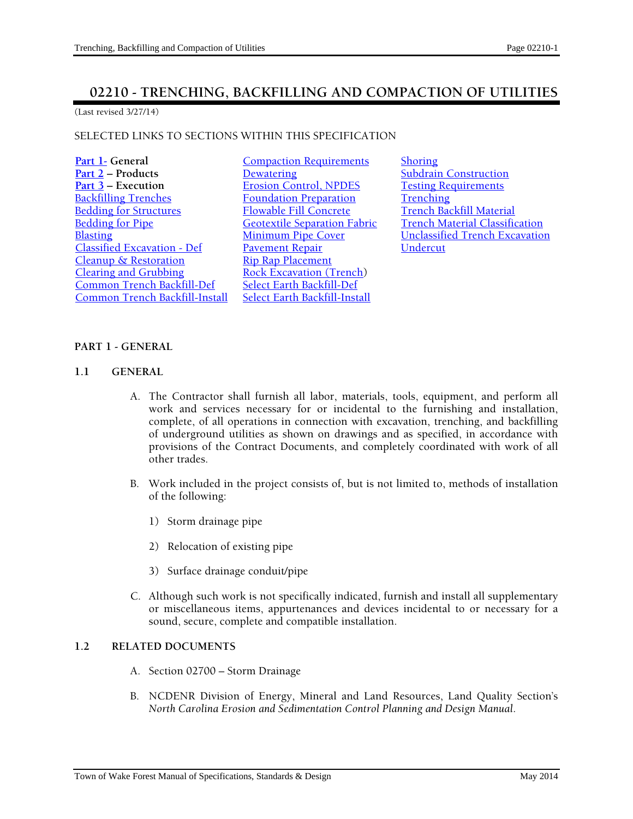# **02210 - TRENCHING, BACKFILLING AND COMPACTION OF UTILITIES**

(Last revised 3/27/14)

## SELECTED LINKS TO SECTIONS WITHIN THIS SPECIFICATION

| Part 1- General                    | Co           |
|------------------------------------|--------------|
| Part $2$ – Products                | De           |
| Part $3$ – Execution               | Ero          |
| <b>Backfilling Trenches</b>        | $\rm E\rm o$ |
| <b>Bedding for Structures</b>      | Flo          |
| <b>Bedding for Pipe</b>            | Ge           |
| <b>Blasting</b>                    | Mi           |
| <b>Classified Excavation - Def</b> | <u>Pa</u>    |
| <b>Cleanup &amp; Restoration</b>   | <u>Rip</u>   |
| <b>Clearing and Grubbing</b>       | Ro           |
| <b>Common Trench Backfill-Def</b>  | <u>Sel</u>   |
| Common Trench Backfill-Install     | Sel          |

- **Part 1- Part 1- Compaction Requirements** Shoring **Part 2 – Products 2 – Products 2 – Products 2 – Products 2 – Products 2 – Products 2 – Products 2 – Products 2 – Products 2 – Products 2 – Products 2 – Products 2 – Products 2 – Products 2 – Products 2 – Products 2 – Prod Part 3 – Part 3 – Part 3 – Part 3 – Part 3 – Part 3 – Part 3 – Part 3 – Part 3 – Part 3 – Part 3 – Part 3 – Part 3 – Part 3 – Part 3 – Part 3 – Part 3 – Part 3 – Part 3 – Part 3 – Part 3 – Part 3 – Part 3 – Part 3 – Part** <mark>undation Preparation Frenching</mark><br>Example Fill Concrete Trench Back Pauable Fill Concrete Fill Concrete Fill Concrete Separation Fabric French Material Classific<br>French Material Classific vement Repair o Rap Placement ck Excavation (Trench) **Lect Earth Backfill-Def ect Earth Backfill-Install**
- Expediant Fabric French Material Classification<br>
Expedition Fabric Trench Excavation<br>
Unclassified Trench Excavation **Unclassified Trench Excavation**<br>Undercut

## **PART 1 - GENERAL**

#### **1.1 GENERAL**

- A. The Contractor shall furnish all labor, materials, tools, equipment, and perform all work and services necessary for or incidental to the furnishing and installation, complete, of all operations in connection with excavation, trenching, and backfilling of underground utilities as shown on drawings and as specified, in accordance with provisions of the Contract Documents, and completely coordinated with work of all other trades.
- B. Work included in the project consists of, but is not limited to, methods of installation of the following:
	- 1) Storm drainage pipe
	- 2) Relocation of existing pipe
	- 3) Surface drainage conduit/pipe
- C. Although such work is not specifically indicated, furnish and install all supplementary or miscellaneous items, appurtenances and devices incidental to or necessary for a sound, secure, complete and compatible installation.

## **1.2 RELATED DOCUMENTS**

- A. Section 02700 Storm Drainage
- B. NCDENR Division of Energy, Mineral and Land Resources, Land Quality Section's *North Carolina Erosion and Sedimentation Control Planning and Design Manual*.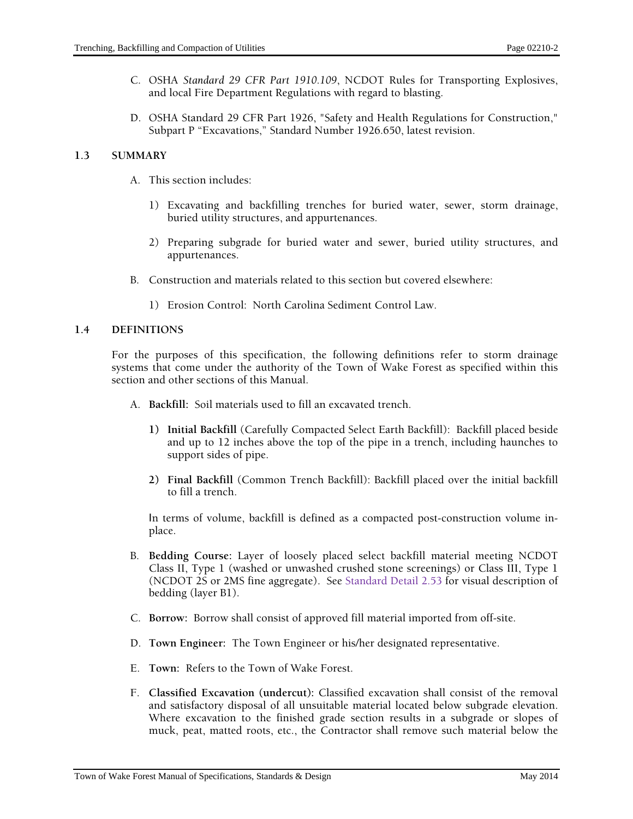- C. OSHA *Standard 29 CFR Part 1910.109*, NCDOT Rules for Transporting Explosives, and local Fire Department Regulations with regard to blasting.
- D. OSHA Standard 29 CFR Part 1926, "Safety and Health Regulations for Construction," Subpart P "Excavations," Standard Number 1926.650, latest revision.

# **1.3 SUMMARY**

- A. This section includes:
	- 1) Excavating and backfilling trenches for buried water, sewer, storm drainage, buried utility structures, and appurtenances.
	- 2) Preparing subgrade for buried water and sewer, buried utility structures, and appurtenances.
- B. Construction and materials related to this section but covered elsewhere:
	- 1) Erosion Control: North Carolina Sediment Control Law.

## **1.4 DEFINITIONS**

For the purposes of this specification, the following definitions refer to storm drainage systems that come under the authority of the Town of Wake Forest as specified within this section and other sections of this Manual.

- A. **Backfill:** Soil materials used to fill an excavated trench.
	- **1) Initial Backfill** (Carefully Compacted Select Earth Backfill): Backfill placed beside and up to 12 inches above the top of the pipe in a trench, including haunches to support sides of pipe.
	- **2) Final Backfill** (Common Trench Backfill): Backfill placed over the initial backfill to fill a trench.

In terms of volume, backfill is defined as a compacted post-construction volume inplace.

- B. **Bedding Course:** Layer of loosely placed select backfill material meeting NCDOT Class II, Type 1 (washed or unwashed crushed stone screenings) or Class III, Type 1 (NCDOT 2S or 2MS fine aggregate). See Standard Detail 2.53 for visual description of bedding (layer B1).
- C. **Borrow:** Borrow shall consist of approved fill material imported from off-site.
- D. **Town Engineer:** The Town Engineer or his/her designated representative.
- E. **Town:** Refers to the Town of Wake Forest.
- F. **Classified Excavation (undercut):** Classified excavation shall consist of the removal and satisfactory disposal of all unsuitable material located below subgrade elevation. Where excavation to the finished grade section results in a subgrade or slopes of muck, peat, matted roots, etc., the Contractor shall remove such material below the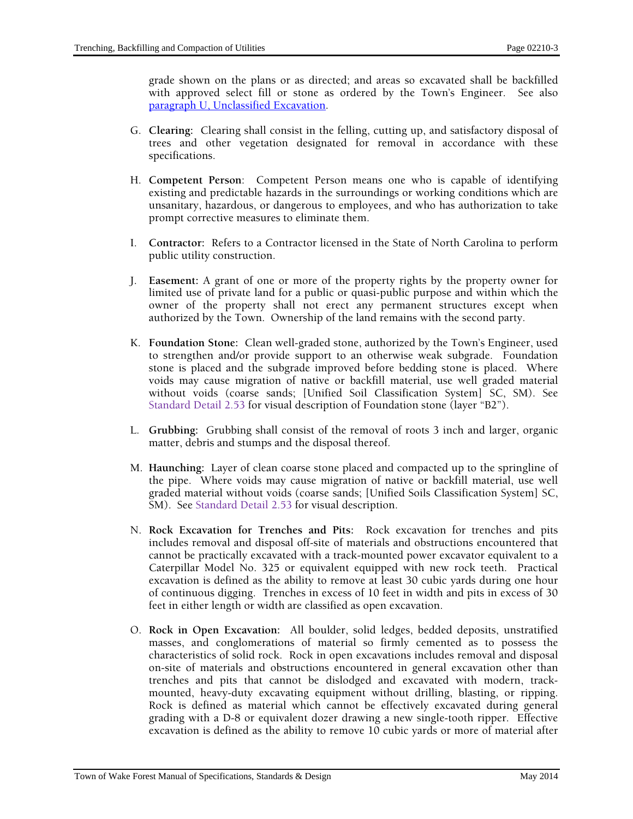grade shown on the plans or as directed; and areas so excavated shall be backfilled with approved select fill or stone as ordered by the Town's Engineer. See also paragraph U, Unclassified Excavation.

- G. **Clearing:** Clearing shall consist in the felling, cutting up, and satisfactory disposal of trees and other vegetation designated for removal in accordance with these specifications.
- H. **Competent Person**: Competent Person means one who is capable of identifying existing and predictable hazards in the surroundings or working conditions which are unsanitary, hazardous, or dangerous to employees, and who has authorization to take prompt corrective measures to eliminate them.
- I. **Contractor:** Refers to a Contractor licensed in the State of North Carolina to perform public utility construction.
- J. **Easement:** A grant of one or more of the property rights by the property owner for limited use of private land for a public or quasi-public purpose and within which the owner of the property shall not erect any permanent structures except when authorized by the Town. Ownership of the land remains with the second party.
- K. **Foundation Stone:** Clean well-graded stone, authorized by the Town's Engineer, used to strengthen and/or provide support to an otherwise weak subgrade. Foundation stone is placed and the subgrade improved before bedding stone is placed. Where voids may cause migration of native or backfill material, use well graded material without voids (coarse sands; [Unified Soil Classification System] SC, SM). See Standard Detail 2.53 for visual description of Foundation stone (layer "B2").
- L. **Grubbing:** Grubbing shall consist of the removal of roots 3 inch and larger, organic matter, debris and stumps and the disposal thereof.
- M. **Haunching:** Layer of clean coarse stone placed and compacted up to the springline of the pipe. Where voids may cause migration of native or backfill material, use well graded material without voids (coarse sands; [Unified Soils Classification System] SC, SM). See Standard Detail 2.53 for visual description.
- N. **Rock Excavation for Trenches and Pits:** Rock excavation for trenches and pits includes removal and disposal off-site of materials and obstructions encountered that cannot be practically excavated with a track-mounted power excavator equivalent to a Caterpillar Model No. 325 or equivalent equipped with new rock teeth. Practical excavation is defined as the ability to remove at least 30 cubic yards during one hour of continuous digging. Trenches in excess of 10 feet in width and pits in excess of 30 feet in either length or width are classified as open excavation.
- O. **Rock in Open Excavation:** All boulder, solid ledges, bedded deposits, unstratified masses, and conglomerations of material so firmly cemented as to possess the characteristics of solid rock. Rock in open excavations includes removal and disposal on-site of materials and obstructions encountered in general excavation other than trenches and pits that cannot be dislodged and excavated with modern, trackmounted, heavy-duty excavating equipment without drilling, blasting, or ripping. Rock is defined as material which cannot be effectively excavated during general grading with a D-8 or equivalent dozer drawing a new single-tooth ripper. Effective excavation is defined as the ability to remove 10 cubic yards or more of material after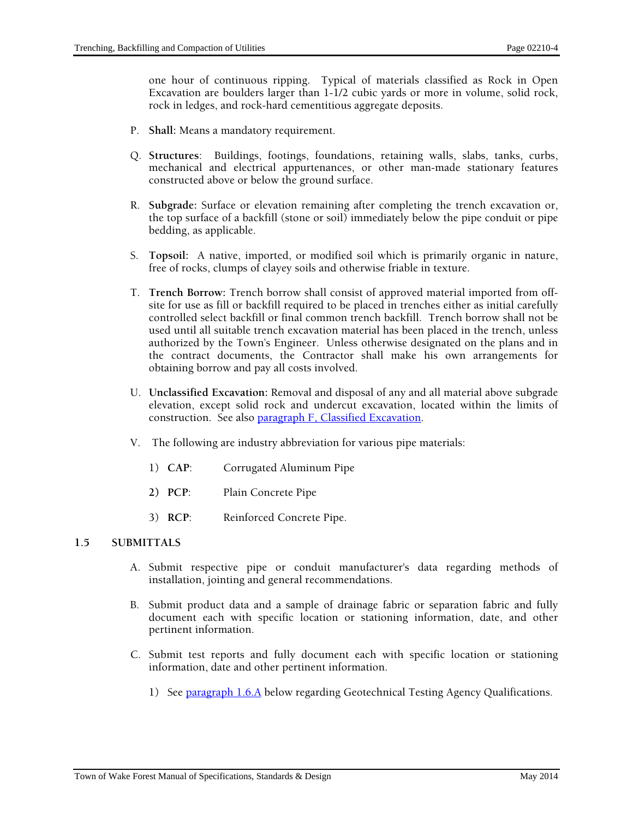one hour of continuous ripping. Typical of materials classified as Rock in Open Excavation are boulders larger than 1-1/2 cubic yards or more in volume, solid rock, rock in ledges, and rock-hard cementitious aggregate deposits.

- P. **Shall:** Means a mandatory requirement.
- Q. **Structures**: Buildings, footings, foundations, retaining walls, slabs, tanks, curbs, mechanical and electrical appurtenances, or other man-made stationary features constructed above or below the ground surface.
- R. **Subgrade:** Surface or elevation remaining after completing the trench excavation or, the top surface of a backfill (stone or soil) immediately below the pipe conduit or pipe bedding, as applicable.
- S. **Topsoil:** A native, imported, or modified soil which is primarily organic in nature, free of rocks, clumps of clayey soils and otherwise friable in texture.
- T. **Trench Borrow:** Trench borrow shall consist of approved material imported from offsite for use as fill or backfill required to be placed in trenches either as initial carefully controlled select backfill or final common trench backfill. Trench borrow shall not be used until all suitable trench excavation material has been placed in the trench, unless authorized by the Town's Engineer. Unless otherwise designated on the plans and in the contract documents, the Contractor shall make his own arrangements for obtaining borrow and pay all costs involved.
- U. **Unclassified Excavation:** Removal and disposal of any and all material above subgrade elevation, except solid rock and undercut excavation, located within the limits of construction. See also paragraph F, Classified Excavation.
- V. The following are industry abbreviation for various pipe materials:
	- 1) **CAP**: Corrugated Aluminum Pipe
	- **2) PCP**: Plain Concrete Pipe
	- 3) **RCP**: Reinforced Concrete Pipe.

## **1.5 SUBMITTALS**

- A. Submit respective pipe or conduit manufacturer's data regarding methods of installation, jointing and general recommendations.
- B. Submit product data and a sample of drainage fabric or separation fabric and fully document each with specific location or stationing information, date, and other pertinent information.
- C. Submit test reports and fully document each with specific location or stationing information, date and other pertinent information.
	- 1) See paragraph 1.6.A below regarding Geotechnical Testing Agency Qualifications.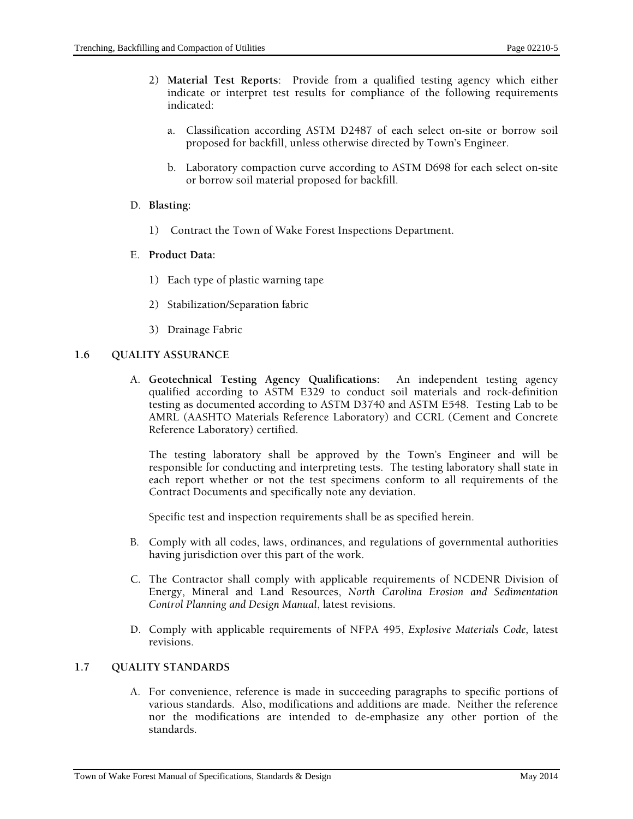- 2) **Material Test Reports**: Provide from a qualified testing agency which either indicate or interpret test results for compliance of the following requirements indicated:
	- a. Classification according ASTM D2487 of each select on-site or borrow soil proposed for backfill, unless otherwise directed by Town's Engineer.
	- b. Laboratory compaction curve according to ASTM D698 for each select on-site or borrow soil material proposed for backfill.

#### D. **Blasting:**

- 1) Contract the Town of Wake Forest Inspections Department.
- E. **Product Data:** 
	- 1) Each type of plastic warning tape
	- 2) Stabilization/Separation fabric
	- 3) Drainage Fabric

#### **1.6 QUALITY ASSURANCE**

A. **Geotechnical Testing Agency Qualifications:** An independent testing agency qualified according to ASTM E329 to conduct soil materials and rock-definition testing as documented according to ASTM D3740 and ASTM E548. Testing Lab to be AMRL (AASHTO Materials Reference Laboratory) and CCRL (Cement and Concrete Reference Laboratory) certified.

The testing laboratory shall be approved by the Town's Engineer and will be responsible for conducting and interpreting tests. The testing laboratory shall state in each report whether or not the test specimens conform to all requirements of the Contract Documents and specifically note any deviation.

Specific test and inspection requirements shall be as specified herein.

- B. Comply with all codes, laws, ordinances, and regulations of governmental authorities having jurisdiction over this part of the work.
- C. The Contractor shall comply with applicable requirements of NCDENR Division of Energy, Mineral and Land Resources, *North Carolina Erosion and Sedimentation Control Planning and Design Manual*, latest revisions.
- D. Comply with applicable requirements of NFPA 495, *Explosive Materials Code,* latest revisions.

#### **1.7 QUALITY STANDARDS**

A. For convenience, reference is made in succeeding paragraphs to specific portions of various standards. Also, modifications and additions are made. Neither the reference nor the modifications are intended to de-emphasize any other portion of the standards.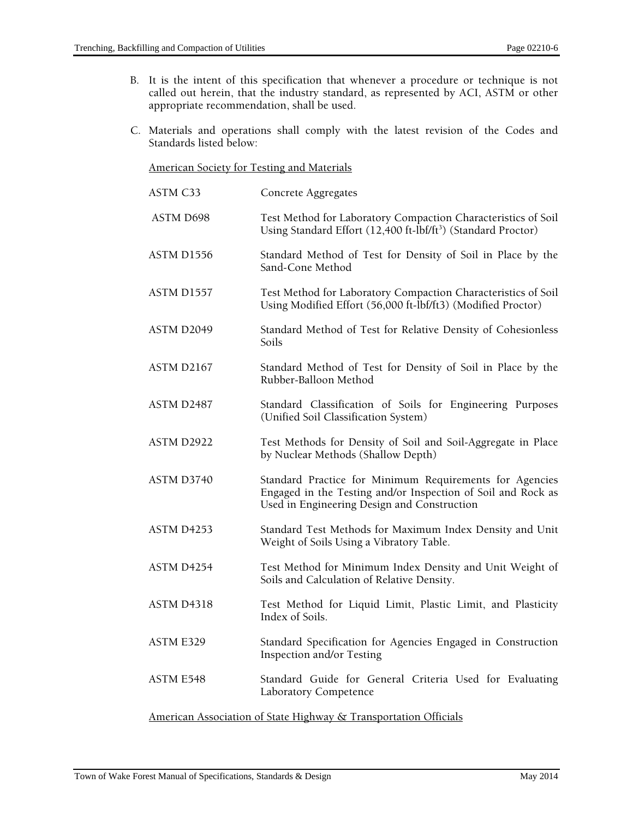- B. It is the intent of this specification that whenever a procedure or technique is not called out herein, that the industry standard, as represented by ACI, ASTM or other appropriate recommendation, shall be used.
- C. Materials and operations shall comply with the latest revision of the Codes and Standards listed below:

#### American Society for Testing and Materials

| ASTM C33                                                         | Concrete Aggregates                                                                                                                                                    |  |
|------------------------------------------------------------------|------------------------------------------------------------------------------------------------------------------------------------------------------------------------|--|
| ASTM D698                                                        | Test Method for Laboratory Compaction Characteristics of Soil<br>Using Standard Effort (12,400 ft-lbf/ft <sup>3</sup> ) (Standard Proctor)                             |  |
| ASTM D1556                                                       | Standard Method of Test for Density of Soil in Place by the<br>Sand-Cone Method                                                                                        |  |
| ASTM D1557                                                       | Test Method for Laboratory Compaction Characteristics of Soil<br>Using Modified Effort (56,000 ft-lbf/ft3) (Modified Proctor)                                          |  |
| ASTM D2049                                                       | Standard Method of Test for Relative Density of Cohesionless<br>Soils                                                                                                  |  |
| ASTM D2167                                                       | Standard Method of Test for Density of Soil in Place by the<br>Rubber-Balloon Method                                                                                   |  |
| ASTM D2487                                                       | Standard Classification of Soils for Engineering Purposes<br>(Unified Soil Classification System)                                                                      |  |
| ASTM D2922                                                       | Test Methods for Density of Soil and Soil-Aggregate in Place<br>by Nuclear Methods (Shallow Depth)                                                                     |  |
| ASTM D3740                                                       | Standard Practice for Minimum Requirements for Agencies<br>Engaged in the Testing and/or Inspection of Soil and Rock as<br>Used in Engineering Design and Construction |  |
| ASTM D4253                                                       | Standard Test Methods for Maximum Index Density and Unit<br>Weight of Soils Using a Vibratory Table.                                                                   |  |
| ASTM D4254                                                       | Test Method for Minimum Index Density and Unit Weight of<br>Soils and Calculation of Relative Density.                                                                 |  |
| <b>ASTM D4318</b>                                                | Test Method for Liquid Limit, Plastic Limit, and Plasticity<br>Index of Soils.                                                                                         |  |
| <b>ASTM E329</b>                                                 | Standard Specification for Agencies Engaged in Construction<br>Inspection and/or Testing                                                                               |  |
| <b>ASTM E548</b>                                                 | Standard Guide for General Criteria Used for Evaluating<br>Laboratory Competence                                                                                       |  |
| American Association of State Highway & Transportation Officials |                                                                                                                                                                        |  |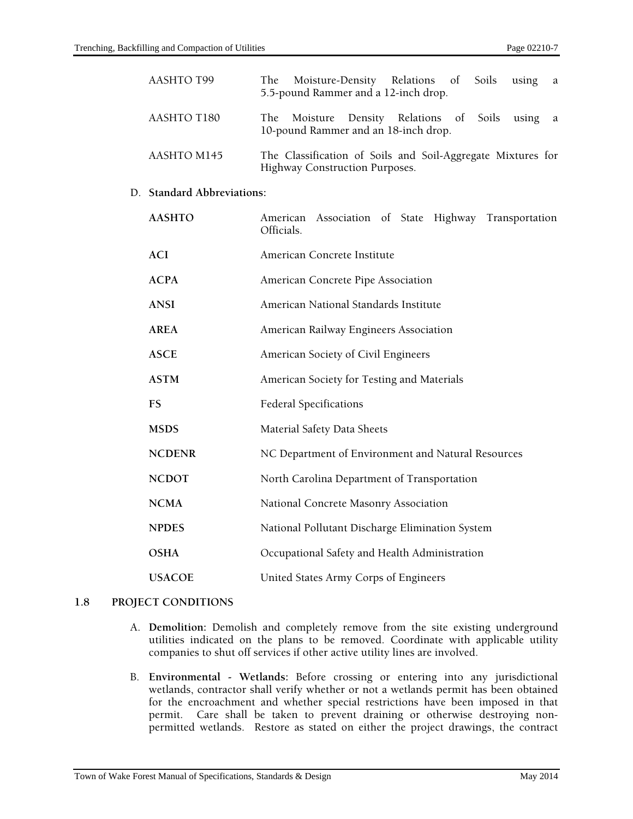| <b>AASHTO T99</b>          | The Moisture-Density Relations of Soils<br>using<br>a<br>5.5-pound Rammer and a 12-inch drop.    |  |
|----------------------------|--------------------------------------------------------------------------------------------------|--|
| AASHTO T180                | Moisture Density Relations of Soils<br>The<br>using<br>a<br>10-pound Rammer and an 18-inch drop. |  |
| AASHTO M145                | The Classification of Soils and Soil-Aggregate Mixtures for<br>Highway Construction Purposes.    |  |
| D. Standard Abbreviations: |                                                                                                  |  |
| <b>AASHTO</b>              | American Association of State Highway Transportation<br>Officials.                               |  |
| <b>ACI</b>                 | American Concrete Institute                                                                      |  |
| <b>ACPA</b>                | American Concrete Pipe Association                                                               |  |
| <b>ANSI</b>                | American National Standards Institute                                                            |  |
| <b>AREA</b>                | American Railway Engineers Association                                                           |  |
| <b>ASCE</b>                | American Society of Civil Engineers                                                              |  |
| <b>ASTM</b>                | American Society for Testing and Materials                                                       |  |
| <b>FS</b>                  | <b>Federal Specifications</b>                                                                    |  |
| <b>MSDS</b>                | Material Safety Data Sheets                                                                      |  |
| <b>NCDENR</b>              | NC Department of Environment and Natural Resources                                               |  |
|                            |                                                                                                  |  |

# **NCDOT** North Carolina Department of Transportation

**NPDES** National Pollutant Discharge Elimination System

**OSHA** Occupational Safety and Health Administration

**USACOE** United States Army Corps of Engineers

# **1.8 PROJECT CONDITIONS**

- A. **Demolition:** Demolish and completely remove from the site existing underground utilities indicated on the plans to be removed. Coordinate with applicable utility companies to shut off services if other active utility lines are involved.
- B. **Environmental Wetlands:** Before crossing or entering into any jurisdictional wetlands, contractor shall verify whether or not a wetlands permit has been obtained for the encroachment and whether special restrictions have been imposed in that permit. Care shall be taken to prevent draining or otherwise destroying nonpermitted wetlands. Restore as stated on either the project drawings, the contract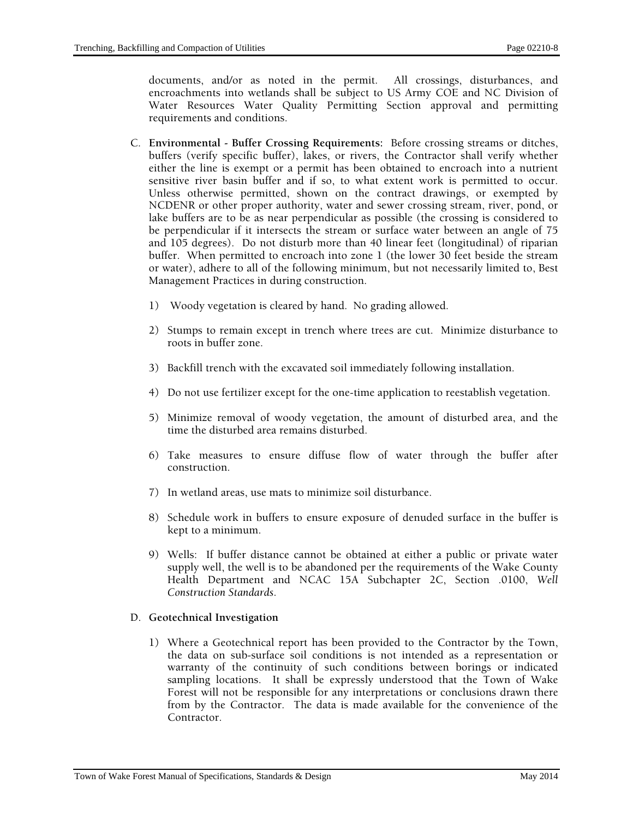documents, and/or as noted in the permit. All crossings, disturbances, and encroachments into wetlands shall be subject to US Army COE and NC Division of Water Resources Water Quality Permitting Section approval and permitting requirements and conditions.

- C. **Environmental Buffer Crossing Requirements:** Before crossing streams or ditches, buffers (verify specific buffer), lakes, or rivers, the Contractor shall verify whether either the line is exempt or a permit has been obtained to encroach into a nutrient sensitive river basin buffer and if so, to what extent work is permitted to occur. Unless otherwise permitted, shown on the contract drawings, or exempted by NCDENR or other proper authority, water and sewer crossing stream, river, pond, or lake buffers are to be as near perpendicular as possible (the crossing is considered to be perpendicular if it intersects the stream or surface water between an angle of 75 and 105 degrees). Do not disturb more than 40 linear feet (longitudinal) of riparian buffer. When permitted to encroach into zone 1 (the lower 30 feet beside the stream or water), adhere to all of the following minimum, but not necessarily limited to, Best Management Practices in during construction.
	- 1) Woody vegetation is cleared by hand. No grading allowed.
	- 2) Stumps to remain except in trench where trees are cut. Minimize disturbance to roots in buffer zone.
	- 3) Backfill trench with the excavated soil immediately following installation.
	- 4) Do not use fertilizer except for the one-time application to reestablish vegetation.
	- 5) Minimize removal of woody vegetation, the amount of disturbed area, and the time the disturbed area remains disturbed.
	- 6) Take measures to ensure diffuse flow of water through the buffer after construction.
	- 7) In wetland areas, use mats to minimize soil disturbance.
	- 8) Schedule work in buffers to ensure exposure of denuded surface in the buffer is kept to a minimum.
	- 9) Wells: If buffer distance cannot be obtained at either a public or private water supply well, the well is to be abandoned per the requirements of the Wake County Health Department and NCAC 15A Subchapter 2C, Section .0100, *Well Construction Standards*.

#### D. **Geotechnical Investigation**

1) Where a Geotechnical report has been provided to the Contractor by the Town, the data on sub-surface soil conditions is not intended as a representation or warranty of the continuity of such conditions between borings or indicated sampling locations. It shall be expressly understood that the Town of Wake Forest will not be responsible for any interpretations or conclusions drawn there from by the Contractor. The data is made available for the convenience of the Contractor.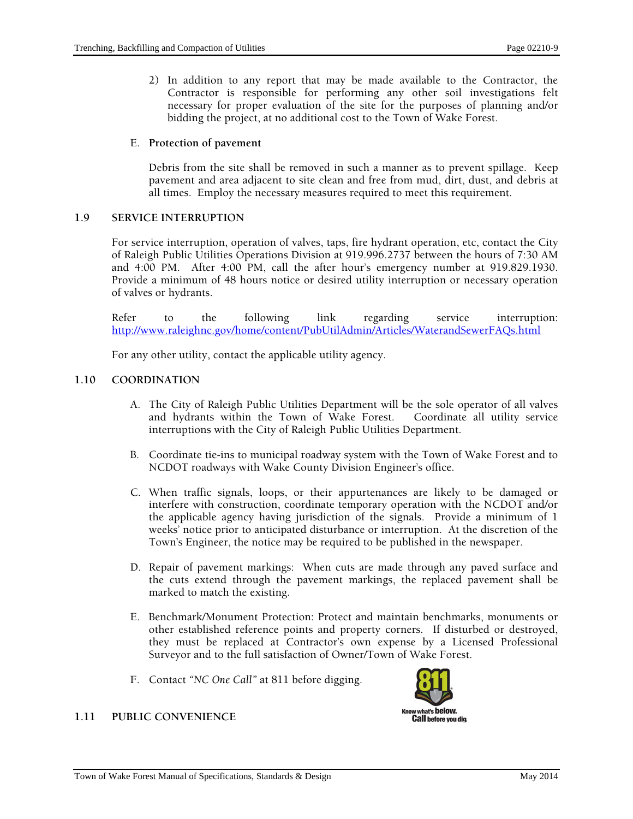2) In addition to any report that may be made available to the Contractor, the Contractor is responsible for performing any other soil investigations felt necessary for proper evaluation of the site for the purposes of planning and/or bidding the project, at no additional cost to the Town of Wake Forest.

#### E. **Protection of pavement**

Debris from the site shall be removed in such a manner as to prevent spillage. Keep pavement and area adjacent to site clean and free from mud, dirt, dust, and debris at all times. Employ the necessary measures required to meet this requirement.

## **1.9 SERVICE INTERRUPTION**

For service interruption, operation of valves, taps, fire hydrant operation, etc, contact the City of Raleigh Public Utilities Operations Division at 919.996.2737 between the hours of 7:30 AM and 4:00 PM. After 4:00 PM, call the after hour's emergency number at 919.829.1930. Provide a minimum of 48 hours notice or desired utility interruption or necessary operation of valves or hydrants.

Refer to the following link regarding service interruption: http://www.raleighnc.gov/home/content/PubUtilAdmin/Articles/WaterandSewerFAQs.html

For any other utility, contact the applicable utility agency.

## **1.10 COORDINATION**

- A. The City of Raleigh Public Utilities Department will be the sole operator of all valves and hydrants within the Town of Wake Forest. Coordinate all utility service interruptions with the City of Raleigh Public Utilities Department.
- B. Coordinate tie-ins to municipal roadway system with the Town of Wake Forest and to NCDOT roadways with Wake County Division Engineer's office.
- C. When traffic signals, loops, or their appurtenances are likely to be damaged or interfere with construction, coordinate temporary operation with the NCDOT and/or the applicable agency having jurisdiction of the signals. Provide a minimum of 1 weeks' notice prior to anticipated disturbance or interruption. At the discretion of the Town's Engineer, the notice may be required to be published in the newspaper.
- D. Repair of pavement markings: When cuts are made through any paved surface and the cuts extend through the pavement markings, the replaced pavement shall be marked to match the existing.
- E. Benchmark/Monument Protection: Protect and maintain benchmarks, monuments or other established reference points and property corners. If disturbed or destroyed, they must be replaced at Contractor's own expense by a Licensed Professional Surveyor and to the full satisfaction of Owner/Town of Wake Forest.
- F. Contact *"NC One Call"* at 811 before digging.



# **1.11 PUBLIC CONVENIENCE**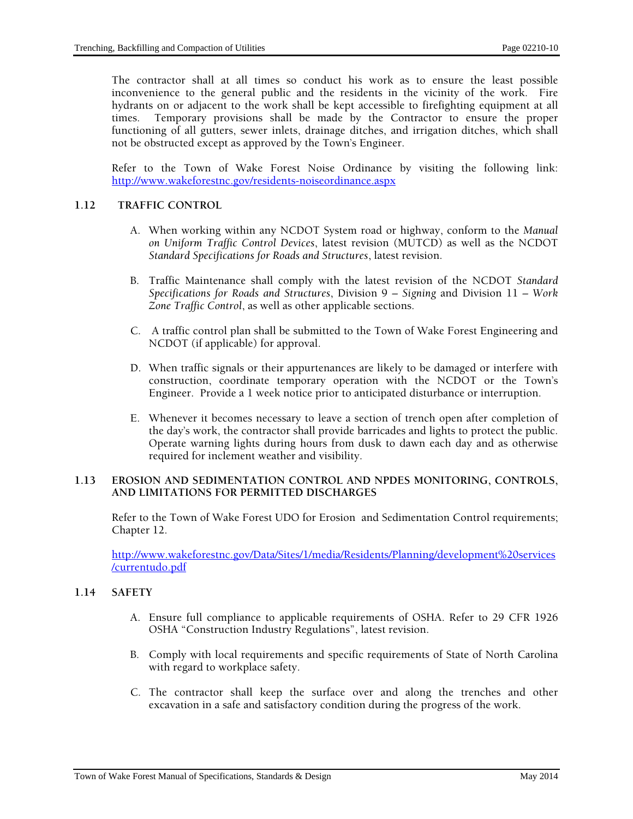The contractor shall at all times so conduct his work as to ensure the least possible inconvenience to the general public and the residents in the vicinity of the work. Fire hydrants on or adjacent to the work shall be kept accessible to firefighting equipment at all times. Temporary provisions shall be made by the Contractor to ensure the proper functioning of all gutters, sewer inlets, drainage ditches, and irrigation ditches, which shall not be obstructed except as approved by the Town's Engineer.

Refer to the Town of Wake Forest Noise Ordinance by visiting the following link: http://www.wakeforestnc.gov/residents-noiseordinance.aspx

## **1.12 TRAFFIC CONTROL**

- A. When working within any NCDOT System road or highway, conform to the *Manual on Uniform Traffic Control Devices*, latest revision (MUTCD) as well as the NCDOT *Standard Specifications for Roads and Structures*, latest revision.
- B. Traffic Maintenance shall comply with the latest revision of the NCDOT *Standard Specifications for Roads and Structures*, Division 9 *– Signing* and Division 11 *– Work Zone Traffic Control*, as well as other applicable sections.
- C. A traffic control plan shall be submitted to the Town of Wake Forest Engineering and NCDOT (if applicable) for approval.
- D. When traffic signals or their appurtenances are likely to be damaged or interfere with construction, coordinate temporary operation with the NCDOT or the Town's Engineer. Provide a 1 week notice prior to anticipated disturbance or interruption.
- E. Whenever it becomes necessary to leave a section of trench open after completion of the day's work, the contractor shall provide barricades and lights to protect the public. Operate warning lights during hours from dusk to dawn each day and as otherwise required for inclement weather and visibility.

## **1.13 EROSION AND SEDIMENTATION CONTROL AND NPDES MONITORING, CONTROLS, AND LIMITATIONS FOR PERMITTED DISCHARGES**

Refer to the Town of Wake Forest UDO for Erosion and Sedimentation Control requirements; Chapter 12.

http://www.wakeforestnc.gov/Data/Sites/1/media/Residents/Planning/development%20services /currentudo.pdf

## **1.14 SAFETY**

- A. Ensure full compliance to applicable requirements of OSHA. Refer to 29 CFR 1926 OSHA "Construction Industry Regulations", latest revision.
- B. Comply with local requirements and specific requirements of State of North Carolina with regard to workplace safety.
- C. The contractor shall keep the surface over and along the trenches and other excavation in a safe and satisfactory condition during the progress of the work.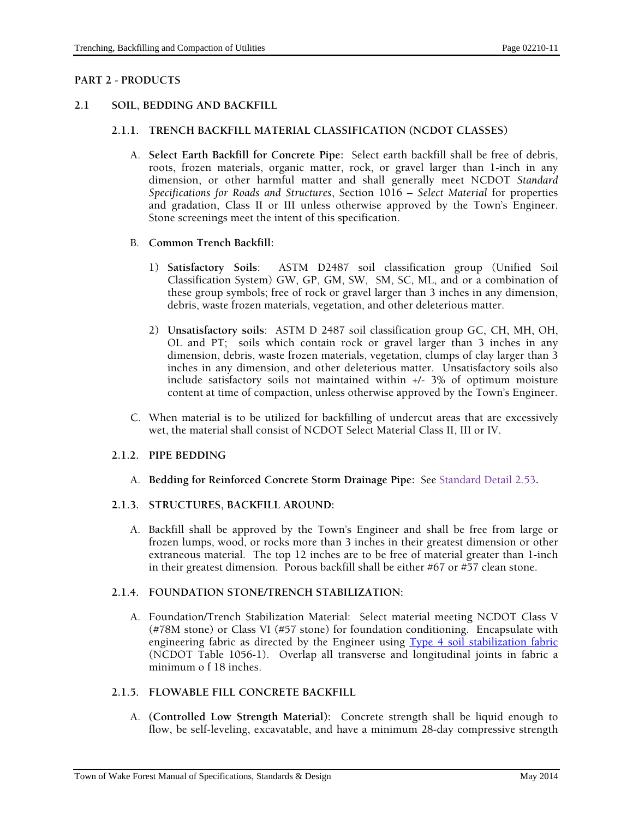## **PART 2 - PRODUCTS**

## **2.1 SOIL, BEDDING AND BACKFILL**

## **2.1.1. TRENCH BACKFILL MATERIAL CLASSIFICATION (NCDOT CLASSES)**

A. **Select Earth Backfill for Concrete Pipe:** Select earth backfill shall be free of debris, roots, frozen materials, organic matter, rock, or gravel larger than 1-inch in any dimension, or other harmful matter and shall generally meet NCDOT *Standard Specifications for Roads and Structures*, Section 1016 – *Select Material* for properties and gradation, Class II or III unless otherwise approved by the Town's Engineer. Stone screenings meet the intent of this specification.

#### B. **Common Trench Backfill:**

- 1) **Satisfactory Soils**: ASTM D2487 soil classification group (Unified Soil Classification System) GW, GP, GM, SW, SM, SC, ML, and or a combination of these group symbols; free of rock or gravel larger than 3 inches in any dimension, debris, waste frozen materials, vegetation, and other deleterious matter.
- 2) **Unsatisfactory soils**: ASTM D 2487 soil classification group GC, CH, MH, OH, OL and PT; soils which contain rock or gravel larger than 3 inches in any dimension, debris, waste frozen materials, vegetation, clumps of clay larger than 3 inches in any dimension, and other deleterious matter. Unsatisfactory soils also include satisfactory soils not maintained within +/- 3% of optimum moisture content at time of compaction, unless otherwise approved by the Town's Engineer.
- C. When material is to be utilized for backfilling of undercut areas that are excessively wet, the material shall consist of NCDOT Select Material Class II, III or IV.

#### **2.1.2. PIPE BEDDING**

A. **Bedding for Reinforced Concrete Storm Drainage Pipe:** See Standard Detail 2.53**.** 

#### **2.1.3. STRUCTURES, BACKFILL AROUND:**

A. Backfill shall be approved by the Town's Engineer and shall be free from large or frozen lumps, wood, or rocks more than 3 inches in their greatest dimension or other extraneous material. The top 12 inches are to be free of material greater than 1-inch in their greatest dimension. Porous backfill shall be either #67 or #57 clean stone.

#### **2.1.4. FOUNDATION STONE/TRENCH STABILIZATION:**

A. Foundation/Trench Stabilization Material: Select material meeting NCDOT Class V (#78M stone) or Class VI (#57 stone) for foundation conditioning. Encapsulate with engineering fabric as directed by the Engineer using Type 4 soil stabilization fabric (NCDOT Table 1056-1). Overlap all transverse and longitudinal joints in fabric a minimum o f 18 inches.

## **2.1.5. FLOWABLE FILL CONCRETE BACKFILL**

A. **(Controlled Low Strength Material):** Concrete strength shall be liquid enough to flow, be self-leveling, excavatable, and have a minimum 28-day compressive strength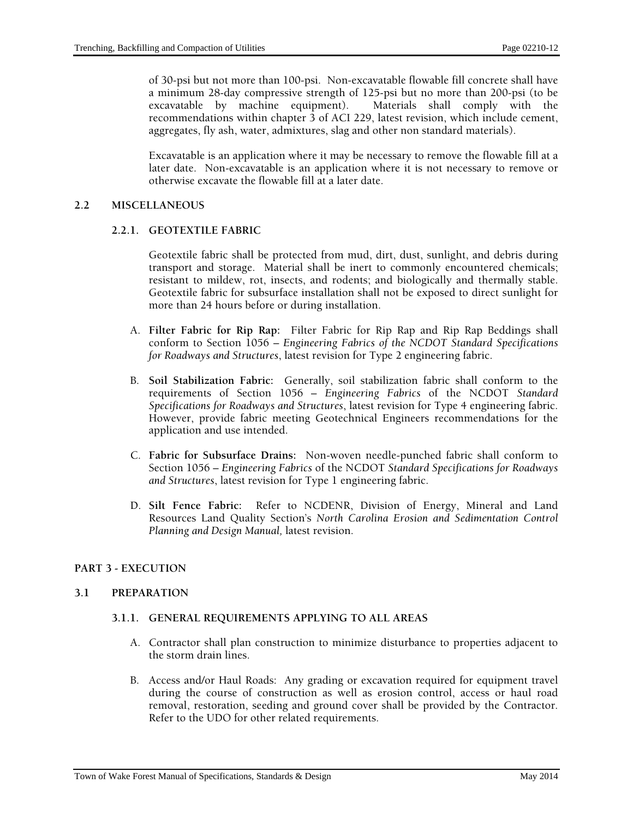of 30-psi but not more than 100-psi. Non-excavatable flowable fill concrete shall have a minimum 28-day compressive strength of 125-psi but no more than 200-psi (to be excavatable by machine equipment). Materials shall comply with the recommendations within chapter 3 of ACI 229, latest revision, which include cement, aggregates, fly ash, water, admixtures, slag and other non standard materials).

Excavatable is an application where it may be necessary to remove the flowable fill at a later date. Non-excavatable is an application where it is not necessary to remove or otherwise excavate the flowable fill at a later date.

## **2.2 MISCELLANEOUS**

## **2.2.1. GEOTEXTILE FABRIC**

Geotextile fabric shall be protected from mud, dirt, dust, sunlight, and debris during transport and storage. Material shall be inert to commonly encountered chemicals; resistant to mildew, rot, insects, and rodents; and biologically and thermally stable. Geotextile fabric for subsurface installation shall not be exposed to direct sunlight for more than 24 hours before or during installation.

- A. **Filter Fabric for Rip Rap:** Filter Fabric for Rip Rap and Rip Rap Beddings shall conform to Section 1056 – *Engineering Fabrics of the NCDOT Standard Specifications for Roadways and Structures*, latest revision for Type 2 engineering fabric.
- B. **Soil Stabilization Fabric:** Generally, soil stabilization fabric shall conform to the requirements of Section 1056 – *Engineering Fabrics* of the NCDOT *Standard Specifications for Roadways and Structures*, latest revision for Type 4 engineering fabric. However, provide fabric meeting Geotechnical Engineers recommendations for the application and use intended.
- C. **Fabric for Subsurface Drains:** Non-woven needle-punched fabric shall conform to Section 1056 – *Engineering Fabrics* of the NCDOT *Standard Specifications for Roadways and Structures*, latest revision for Type 1 engineering fabric.
- D. **Silt Fence Fabric:** Refer to NCDENR, Division of Energy, Mineral and Land Resources Land Quality Section's *North Carolina Erosion and Sedimentation Control Planning and Design Manual,* latest revision.

#### **PART 3 - EXECUTION**

#### **3.1 PREPARATION**

## **3.1.1. GENERAL REQUIREMENTS APPLYING TO ALL AREAS**

- A. Contractor shall plan construction to minimize disturbance to properties adjacent to the storm drain lines.
- B. Access and/or Haul Roads: Any grading or excavation required for equipment travel during the course of construction as well as erosion control, access or haul road removal, restoration, seeding and ground cover shall be provided by the Contractor. Refer to the UDO for other related requirements.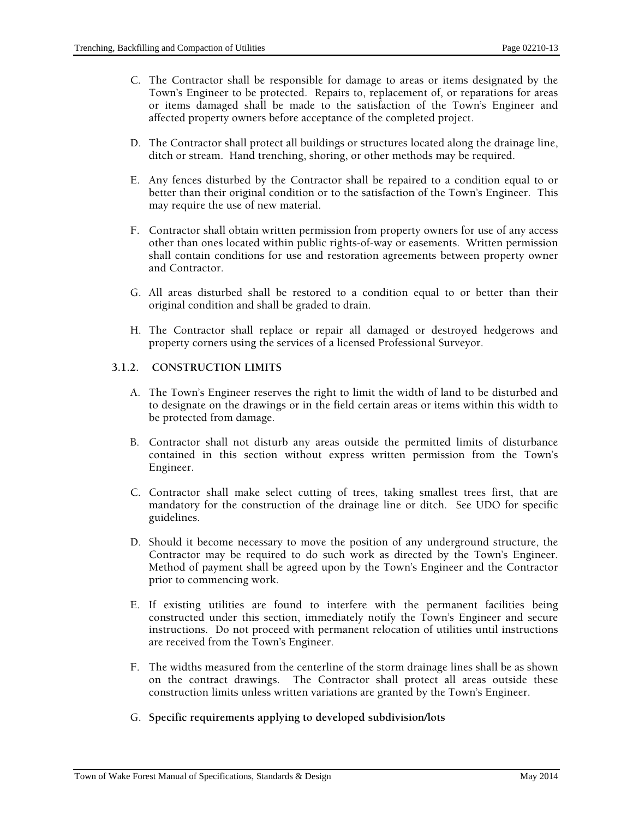- C. The Contractor shall be responsible for damage to areas or items designated by the Town's Engineer to be protected. Repairs to, replacement of, or reparations for areas or items damaged shall be made to the satisfaction of the Town's Engineer and affected property owners before acceptance of the completed project.
- D. The Contractor shall protect all buildings or structures located along the drainage line, ditch or stream. Hand trenching, shoring, or other methods may be required.
- E. Any fences disturbed by the Contractor shall be repaired to a condition equal to or better than their original condition or to the satisfaction of the Town's Engineer. This may require the use of new material.
- F. Contractor shall obtain written permission from property owners for use of any access other than ones located within public rights-of-way or easements. Written permission shall contain conditions for use and restoration agreements between property owner and Contractor.
- G. All areas disturbed shall be restored to a condition equal to or better than their original condition and shall be graded to drain.
- H. The Contractor shall replace or repair all damaged or destroyed hedgerows and property corners using the services of a licensed Professional Surveyor.

## **3.1.2. CONSTRUCTION LIMITS**

- A. The Town's Engineer reserves the right to limit the width of land to be disturbed and to designate on the drawings or in the field certain areas or items within this width to be protected from damage.
- B. Contractor shall not disturb any areas outside the permitted limits of disturbance contained in this section without express written permission from the Town's Engineer.
- C. Contractor shall make select cutting of trees, taking smallest trees first, that are mandatory for the construction of the drainage line or ditch. See UDO for specific guidelines.
- D. Should it become necessary to move the position of any underground structure, the Contractor may be required to do such work as directed by the Town's Engineer. Method of payment shall be agreed upon by the Town's Engineer and the Contractor prior to commencing work.
- E. If existing utilities are found to interfere with the permanent facilities being constructed under this section, immediately notify the Town's Engineer and secure instructions. Do not proceed with permanent relocation of utilities until instructions are received from the Town's Engineer.
- F. The widths measured from the centerline of the storm drainage lines shall be as shown on the contract drawings. The Contractor shall protect all areas outside these construction limits unless written variations are granted by the Town's Engineer.
- G. **Specific requirements applying to developed subdivision/lots**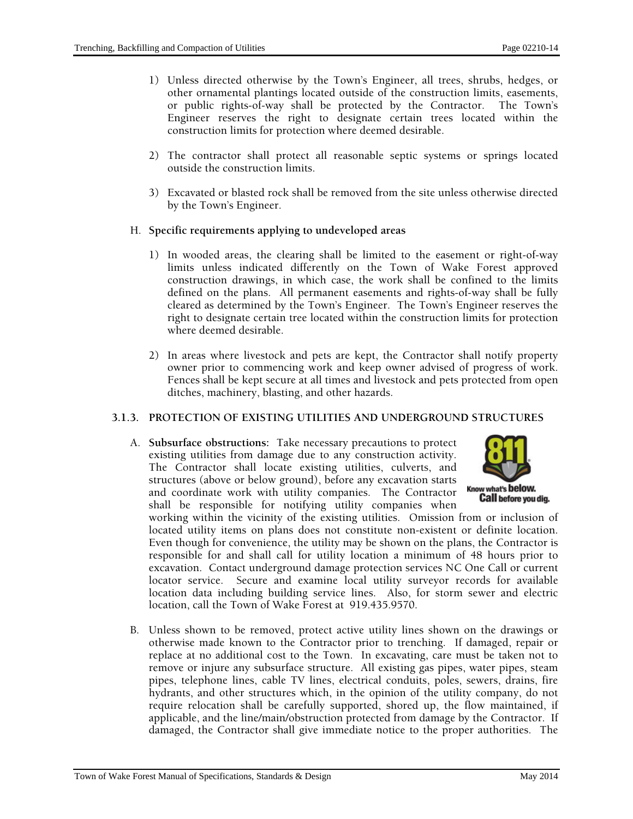- 1) Unless directed otherwise by the Town's Engineer, all trees, shrubs, hedges, or other ornamental plantings located outside of the construction limits, easements, or public rights-of-way shall be protected by the Contractor. The Town's Engineer reserves the right to designate certain trees located within the construction limits for protection where deemed desirable.
- 2) The contractor shall protect all reasonable septic systems or springs located outside the construction limits.
- 3) Excavated or blasted rock shall be removed from the site unless otherwise directed by the Town's Engineer.
- H. **Specific requirements applying to undeveloped areas** 
	- 1) In wooded areas, the clearing shall be limited to the easement or right-of-way limits unless indicated differently on the Town of Wake Forest approved construction drawings, in which case, the work shall be confined to the limits defined on the plans. All permanent easements and rights-of-way shall be fully cleared as determined by the Town's Engineer. The Town's Engineer reserves the right to designate certain tree located within the construction limits for protection where deemed desirable.
	- 2) In areas where livestock and pets are kept, the Contractor shall notify property owner prior to commencing work and keep owner advised of progress of work. Fences shall be kept secure at all times and livestock and pets protected from open ditches, machinery, blasting, and other hazards.

## **3.1.3. PROTECTION OF EXISTING UTILITIES AND UNDERGROUND STRUCTURES**

A. **Subsurface obstructions:** Take necessary precautions to protect existing utilities from damage due to any construction activity. The Contractor shall locate existing utilities, culverts, and structures (above or below ground), before any excavation starts and coordinate work with utility companies. The Contractor shall be responsible for notifying utility companies when



working within the vicinity of the existing utilities. Omission from or inclusion of located utility items on plans does not constitute non-existent or definite location. Even though for convenience, the utility may be shown on the plans, the Contractor is responsible for and shall call for utility location a minimum of 48 hours prior to excavation. Contact underground damage protection services NC One Call or current locator service. Secure and examine local utility surveyor records for available location data including building service lines. Also, for storm sewer and electric location, call the Town of Wake Forest at 919.435.9570.

B. Unless shown to be removed, protect active utility lines shown on the drawings or otherwise made known to the Contractor prior to trenching. If damaged, repair or replace at no additional cost to the Town. In excavating, care must be taken not to remove or injure any subsurface structure. All existing gas pipes, water pipes, steam pipes, telephone lines, cable TV lines, electrical conduits, poles, sewers, drains, fire hydrants, and other structures which, in the opinion of the utility company, do not require relocation shall be carefully supported, shored up, the flow maintained, if applicable, and the line/main/obstruction protected from damage by the Contractor. If damaged, the Contractor shall give immediate notice to the proper authorities. The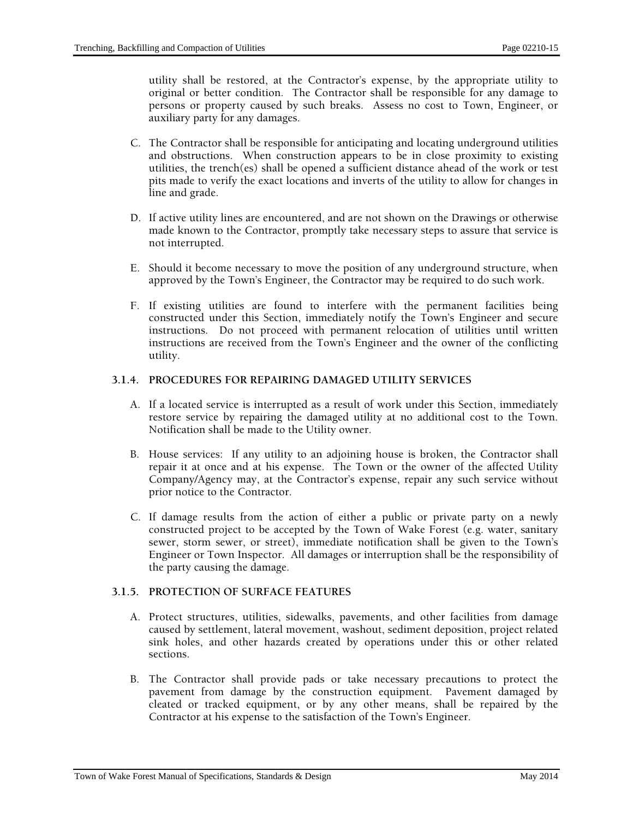utility shall be restored, at the Contractor's expense, by the appropriate utility to original or better condition. The Contractor shall be responsible for any damage to persons or property caused by such breaks. Assess no cost to Town, Engineer, or auxiliary party for any damages.

- C. The Contractor shall be responsible for anticipating and locating underground utilities and obstructions. When construction appears to be in close proximity to existing utilities, the trench(es) shall be opened a sufficient distance ahead of the work or test pits made to verify the exact locations and inverts of the utility to allow for changes in line and grade.
- D. If active utility lines are encountered, and are not shown on the Drawings or otherwise made known to the Contractor, promptly take necessary steps to assure that service is not interrupted.
- E. Should it become necessary to move the position of any underground structure, when approved by the Town's Engineer, the Contractor may be required to do such work.
- F. If existing utilities are found to interfere with the permanent facilities being constructed under this Section, immediately notify the Town's Engineer and secure instructions. Do not proceed with permanent relocation of utilities until written instructions are received from the Town's Engineer and the owner of the conflicting utility.

#### **3.1.4. PROCEDURES FOR REPAIRING DAMAGED UTILITY SERVICES**

- A. If a located service is interrupted as a result of work under this Section, immediately restore service by repairing the damaged utility at no additional cost to the Town. Notification shall be made to the Utility owner.
- B. House services: If any utility to an adjoining house is broken, the Contractor shall repair it at once and at his expense. The Town or the owner of the affected Utility Company/Agency may, at the Contractor's expense, repair any such service without prior notice to the Contractor.
- C. If damage results from the action of either a public or private party on a newly constructed project to be accepted by the Town of Wake Forest (e.g. water, sanitary sewer, storm sewer, or street), immediate notification shall be given to the Town's Engineer or Town Inspector. All damages or interruption shall be the responsibility of the party causing the damage.

## **3.1.5. PROTECTION OF SURFACE FEATURES**

- A. Protect structures, utilities, sidewalks, pavements, and other facilities from damage caused by settlement, lateral movement, washout, sediment deposition, project related sink holes, and other hazards created by operations under this or other related sections.
- B. The Contractor shall provide pads or take necessary precautions to protect the pavement from damage by the construction equipment. Pavement damaged by cleated or tracked equipment, or by any other means, shall be repaired by the Contractor at his expense to the satisfaction of the Town's Engineer.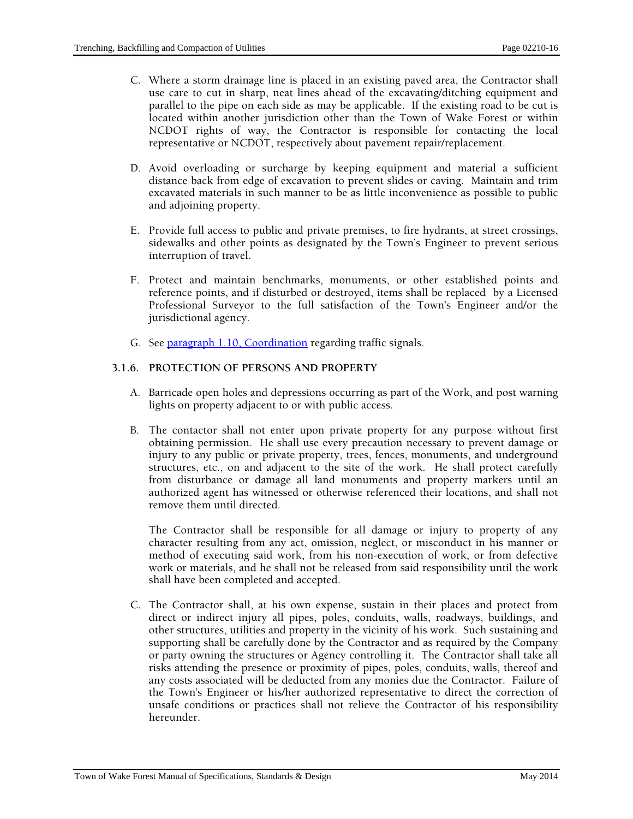- C. Where a storm drainage line is placed in an existing paved area, the Contractor shall use care to cut in sharp, neat lines ahead of the excavating/ditching equipment and parallel to the pipe on each side as may be applicable. If the existing road to be cut is located within another jurisdiction other than the Town of Wake Forest or within NCDOT rights of way, the Contractor is responsible for contacting the local representative or NCDOT, respectively about pavement repair/replacement.
- D. Avoid overloading or surcharge by keeping equipment and material a sufficient distance back from edge of excavation to prevent slides or caving. Maintain and trim excavated materials in such manner to be as little inconvenience as possible to public and adjoining property.
- E. Provide full access to public and private premises, to fire hydrants, at street crossings, sidewalks and other points as designated by the Town's Engineer to prevent serious interruption of travel.
- F. Protect and maintain benchmarks, monuments, or other established points and reference points, and if disturbed or destroyed, items shall be replaced by a Licensed Professional Surveyor to the full satisfaction of the Town's Engineer and/or the jurisdictional agency.
- G. See paragraph 1.10, Coordination regarding traffic signals.

## **3.1.6. PROTECTION OF PERSONS AND PROPERTY**

- A. Barricade open holes and depressions occurring as part of the Work, and post warning lights on property adjacent to or with public access.
- B. The contactor shall not enter upon private property for any purpose without first obtaining permission. He shall use every precaution necessary to prevent damage or injury to any public or private property, trees, fences, monuments, and underground structures, etc., on and adjacent to the site of the work. He shall protect carefully from disturbance or damage all land monuments and property markers until an authorized agent has witnessed or otherwise referenced their locations, and shall not remove them until directed.

The Contractor shall be responsible for all damage or injury to property of any character resulting from any act, omission, neglect, or misconduct in his manner or method of executing said work, from his non-execution of work, or from defective work or materials, and he shall not be released from said responsibility until the work shall have been completed and accepted.

C. The Contractor shall, at his own expense, sustain in their places and protect from direct or indirect injury all pipes, poles, conduits, walls, roadways, buildings, and other structures, utilities and property in the vicinity of his work. Such sustaining and supporting shall be carefully done by the Contractor and as required by the Company or party owning the structures or Agency controlling it. The Contractor shall take all risks attending the presence or proximity of pipes, poles, conduits, walls, thereof and any costs associated will be deducted from any monies due the Contractor. Failure of the Town's Engineer or his/her authorized representative to direct the correction of unsafe conditions or practices shall not relieve the Contractor of his responsibility hereunder.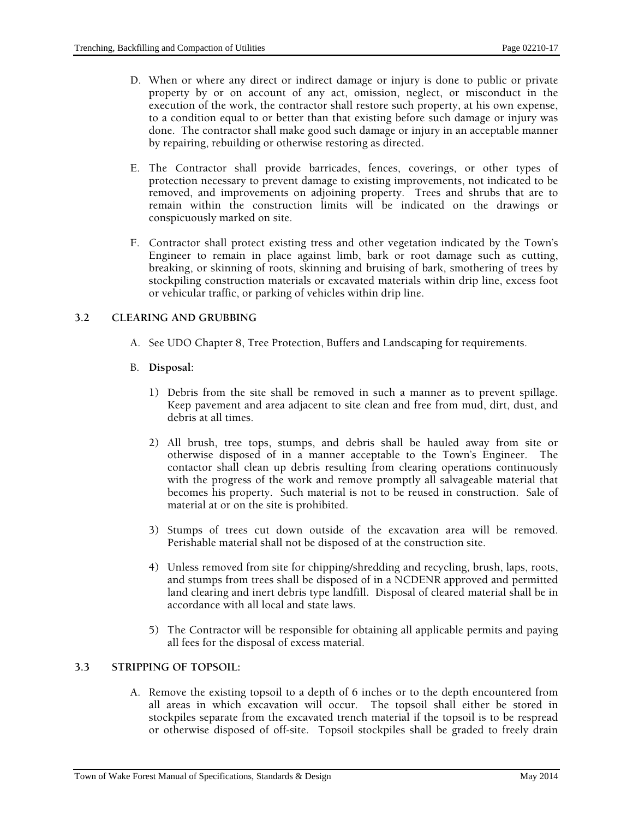- D. When or where any direct or indirect damage or injury is done to public or private property by or on account of any act, omission, neglect, or misconduct in the execution of the work, the contractor shall restore such property, at his own expense, to a condition equal to or better than that existing before such damage or injury was done. The contractor shall make good such damage or injury in an acceptable manner by repairing, rebuilding or otherwise restoring as directed.
- E. The Contractor shall provide barricades, fences, coverings, or other types of protection necessary to prevent damage to existing improvements, not indicated to be removed, and improvements on adjoining property. Trees and shrubs that are to remain within the construction limits will be indicated on the drawings or conspicuously marked on site.
- F. Contractor shall protect existing tress and other vegetation indicated by the Town's Engineer to remain in place against limb, bark or root damage such as cutting, breaking, or skinning of roots, skinning and bruising of bark, smothering of trees by stockpiling construction materials or excavated materials within drip line, excess foot or vehicular traffic, or parking of vehicles within drip line.

## **3.2 CLEARING AND GRUBBING**

A. See UDO Chapter 8, Tree Protection, Buffers and Landscaping for requirements.

## B. **Disposal:**

- 1) Debris from the site shall be removed in such a manner as to prevent spillage. Keep pavement and area adjacent to site clean and free from mud, dirt, dust, and debris at all times.
- 2) All brush, tree tops, stumps, and debris shall be hauled away from site or otherwise disposed of in a manner acceptable to the Town's Engineer. The contactor shall clean up debris resulting from clearing operations continuously with the progress of the work and remove promptly all salvageable material that becomes his property. Such material is not to be reused in construction. Sale of material at or on the site is prohibited.
- 3) Stumps of trees cut down outside of the excavation area will be removed. Perishable material shall not be disposed of at the construction site.
- 4) Unless removed from site for chipping/shredding and recycling, brush, laps, roots, and stumps from trees shall be disposed of in a NCDENR approved and permitted land clearing and inert debris type landfill. Disposal of cleared material shall be in accordance with all local and state laws.
- 5) The Contractor will be responsible for obtaining all applicable permits and paying all fees for the disposal of excess material.

# **3.3 STRIPPING OF TOPSOIL:**

A. Remove the existing topsoil to a depth of 6 inches or to the depth encountered from all areas in which excavation will occur. The topsoil shall either be stored in stockpiles separate from the excavated trench material if the topsoil is to be respread or otherwise disposed of off-site. Topsoil stockpiles shall be graded to freely drain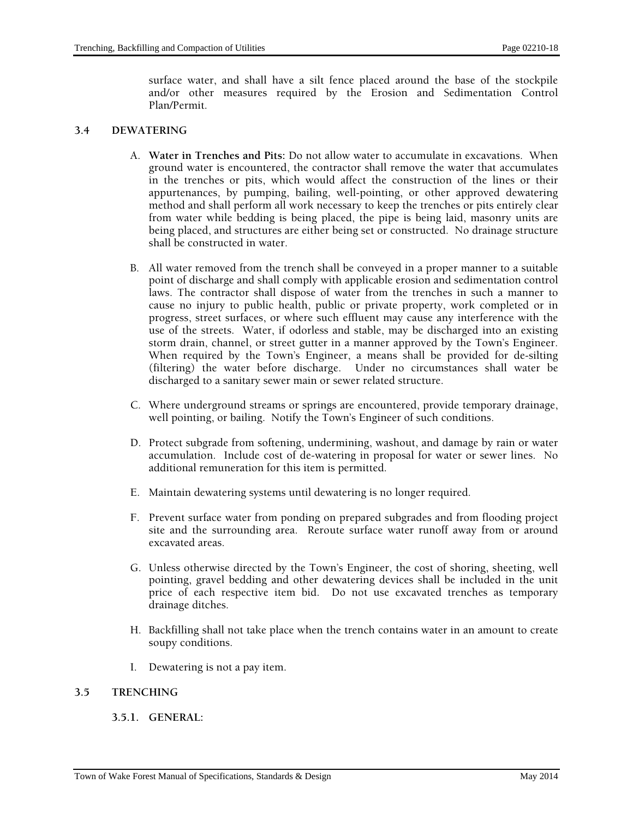surface water, and shall have a silt fence placed around the base of the stockpile and/or other measures required by the Erosion and Sedimentation Control Plan/Permit.

## **3.4 DEWATERING**

- A. **Water in Trenches and Pits:** Do not allow water to accumulate in excavations. When ground water is encountered, the contractor shall remove the water that accumulates in the trenches or pits, which would affect the construction of the lines or their appurtenances, by pumping, bailing, well-pointing, or other approved dewatering method and shall perform all work necessary to keep the trenches or pits entirely clear from water while bedding is being placed, the pipe is being laid, masonry units are being placed, and structures are either being set or constructed. No drainage structure shall be constructed in water.
- B. All water removed from the trench shall be conveyed in a proper manner to a suitable point of discharge and shall comply with applicable erosion and sedimentation control laws. The contractor shall dispose of water from the trenches in such a manner to cause no injury to public health, public or private property, work completed or in progress, street surfaces, or where such effluent may cause any interference with the use of the streets. Water, if odorless and stable, may be discharged into an existing storm drain, channel, or street gutter in a manner approved by the Town's Engineer. When required by the Town's Engineer, a means shall be provided for de-silting (filtering) the water before discharge. Under no circumstances shall water be discharged to a sanitary sewer main or sewer related structure.
- C. Where underground streams or springs are encountered, provide temporary drainage, well pointing, or bailing. Notify the Town's Engineer of such conditions.
- D. Protect subgrade from softening, undermining, washout, and damage by rain or water accumulation. Include cost of de-watering in proposal for water or sewer lines. No additional remuneration for this item is permitted.
- E. Maintain dewatering systems until dewatering is no longer required.
- F. Prevent surface water from ponding on prepared subgrades and from flooding project site and the surrounding area. Reroute surface water runoff away from or around excavated areas.
- G. Unless otherwise directed by the Town's Engineer, the cost of shoring, sheeting, well pointing, gravel bedding and other dewatering devices shall be included in the unit price of each respective item bid. Do not use excavated trenches as temporary drainage ditches.
- H. Backfilling shall not take place when the trench contains water in an amount to create soupy conditions.
- I. Dewatering is not a pay item.

#### **3.5 TRENCHING**

#### **3.5.1. GENERAL:**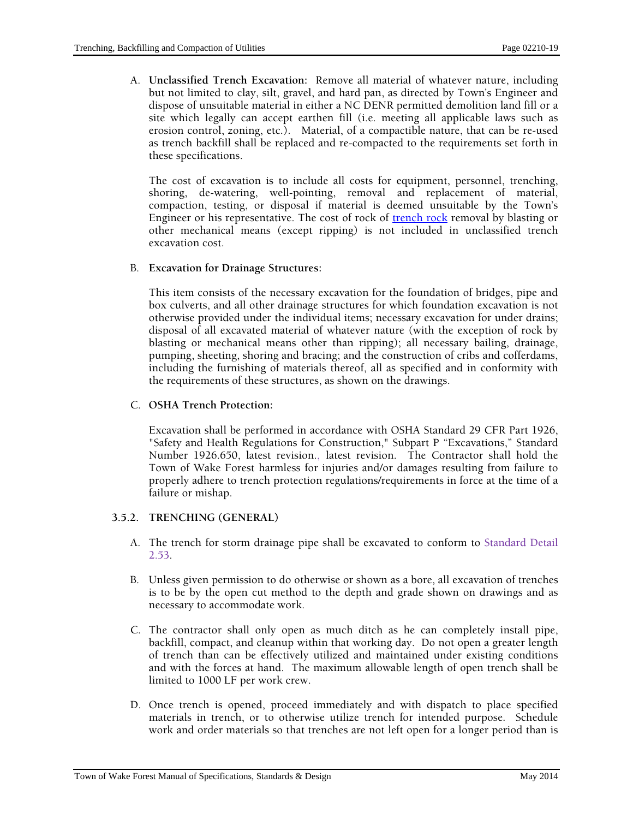A. **Unclassified Trench Excavation:** Remove all material of whatever nature, including but not limited to clay, silt, gravel, and hard pan, as directed by Town's Engineer and dispose of unsuitable material in either a NC DENR permitted demolition land fill or a site which legally can accept earthen fill (i.e. meeting all applicable laws such as erosion control, zoning, etc.). Material, of a compactible nature, that can be re-used as trench backfill shall be replaced and re-compacted to the requirements set forth in these specifications.

The cost of excavation is to include all costs for equipment, personnel, trenching, shoring, de-watering, well-pointing, removal and replacement of material, compaction, testing, or disposal if material is deemed unsuitable by the Town's Engineer or his representative. The cost of rock of trench rock removal by blasting or other mechanical means (except ripping) is not included in unclassified trench excavation cost.

#### B. **Excavation for Drainage Structures:**

This item consists of the necessary excavation for the foundation of bridges, pipe and box culverts, and all other drainage structures for which foundation excavation is not otherwise provided under the individual items; necessary excavation for under drains; disposal of all excavated material of whatever nature (with the exception of rock by blasting or mechanical means other than ripping); all necessary bailing, drainage, pumping, sheeting, shoring and bracing; and the construction of cribs and cofferdams, including the furnishing of materials thereof, all as specified and in conformity with the requirements of these structures, as shown on the drawings.

#### C. **OSHA Trench Protection:**

Excavation shall be performed in accordance with OSHA Standard 29 CFR Part 1926, "Safety and Health Regulations for Construction," Subpart P "Excavations," Standard Number 1926.650, latest revision., latest revision. The Contractor shall hold the Town of Wake Forest harmless for injuries and/or damages resulting from failure to properly adhere to trench protection regulations/requirements in force at the time of a failure or mishap.

## **3.5.2. TRENCHING (GENERAL)**

- A. The trench for storm drainage pipe shall be excavated to conform to Standard Detail 2.53.
- B. Unless given permission to do otherwise or shown as a bore, all excavation of trenches is to be by the open cut method to the depth and grade shown on drawings and as necessary to accommodate work.
- C. The contractor shall only open as much ditch as he can completely install pipe, backfill, compact, and cleanup within that working day. Do not open a greater length of trench than can be effectively utilized and maintained under existing conditions and with the forces at hand. The maximum allowable length of open trench shall be limited to 1000 LF per work crew.
- D. Once trench is opened, proceed immediately and with dispatch to place specified materials in trench, or to otherwise utilize trench for intended purpose. Schedule work and order materials so that trenches are not left open for a longer period than is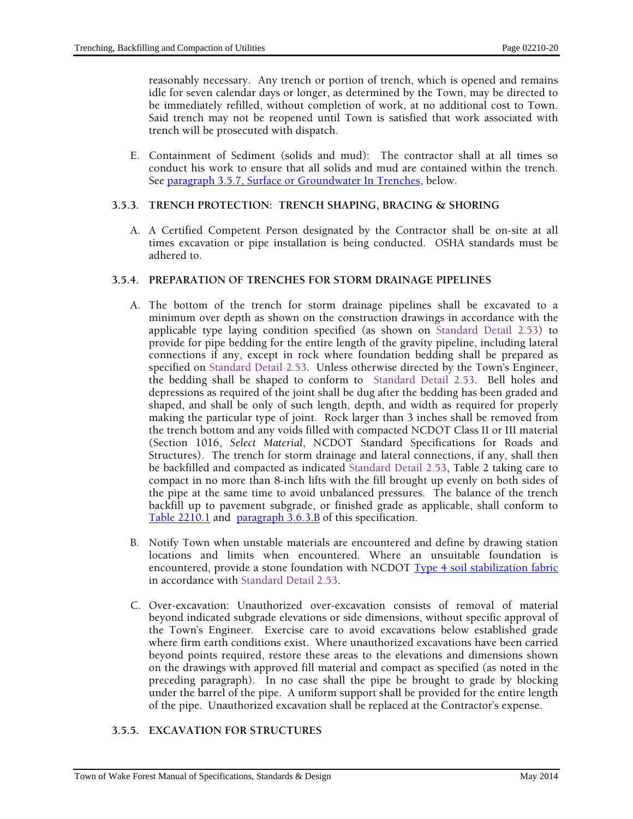reasonably necessary. Any trench or portion of trench, which is opened and remains idle for seven calendar days or longer, as determined by the Town, may be directed to be immediately refilled, without completion of work, at no additional cost to Town. Said trench may not be reopened until Town is satisfied that work associated with trench will be prosecuted with dispatch.

E. Containment of Sediment (solids and mud): The contractor shall at all times so conduct his work to ensure that all solids and mud are contained within the trench. See paragraph 3.5.7, Surface or Groundwater In Trenches, below.

## **3.5.3. TRENCH PROTECTION: TRENCH SHAPING, BRACING & SHORING**

A. A Certified Competent Person designated by the Contractor shall be on-site at all times excavation or pipe installation is being conducted. OSHA standards must be adhered to.

#### **3.5.4. PREPARATION OF TRENCHES FOR STORM DRAINAGE PIPELINES**

- A. The bottom of the trench for storm drainage pipelines shall be excavated to a minimum over depth as shown on the construction drawings in accordance with the applicable type laying condition specified (as shown on Standard Detail 2.53) to provide for pipe bedding for the entire length of the gravity pipeline, including lateral connections if any, except in rock where foundation bedding shall be prepared as specified on Standard Detail 2.53. Unless otherwise directed by the Town's Engineer, the bedding shall be shaped to conform to Standard Detail 2.53. Bell holes and depressions as required of the joint shall be dug after the bedding has been graded and shaped, and shall be only of such length, depth, and width as required for properly making the particular type of joint. Rock larger than 3 inches shall be removed from the trench bottom and any voids filled with compacted NCDOT Class II or III material (Section 1016, *Select Material*, NCDOT Standard Specifications for Roads and Structures). The trench for storm drainage and lateral connections, if any, shall then be backfilled and compacted as indicated Standard Detail 2.53, Table 2 taking care to compact in no more than 8-inch lifts with the fill brought up evenly on both sides of the pipe at the same time to avoid unbalanced pressures. The balance of the trench backfill up to pavement subgrade, or finished grade as applicable, shall conform to Table 2210.1 and paragraph 3.6.3.B of this specification.
- B. Notify Town when unstable materials are encountered and define by drawing station locations and limits when encountered. Where an unsuitable foundation is encountered, provide a stone foundation with NCDOT Type 4 soil stabilization fabric in accordance with Standard Detail 2.53.
- C. Over-excavation: Unauthorized over-excavation consists of removal of material beyond indicated subgrade elevations or side dimensions, without specific approval of the Town's Engineer. Exercise care to avoid excavations below established grade where firm earth conditions exist. Where unauthorized excavations have been carried beyond points required, restore these areas to the elevations and dimensions shown on the drawings with approved fill material and compact as specified (as noted in the preceding paragraph). In no case shall the pipe be brought to grade by blocking under the barrel of the pipe. A uniform support shall be provided for the entire length of the pipe. Unauthorized excavation shall be replaced at the Contractor's expense.

## **3.5.5. EXCAVATION FOR STRUCTURES**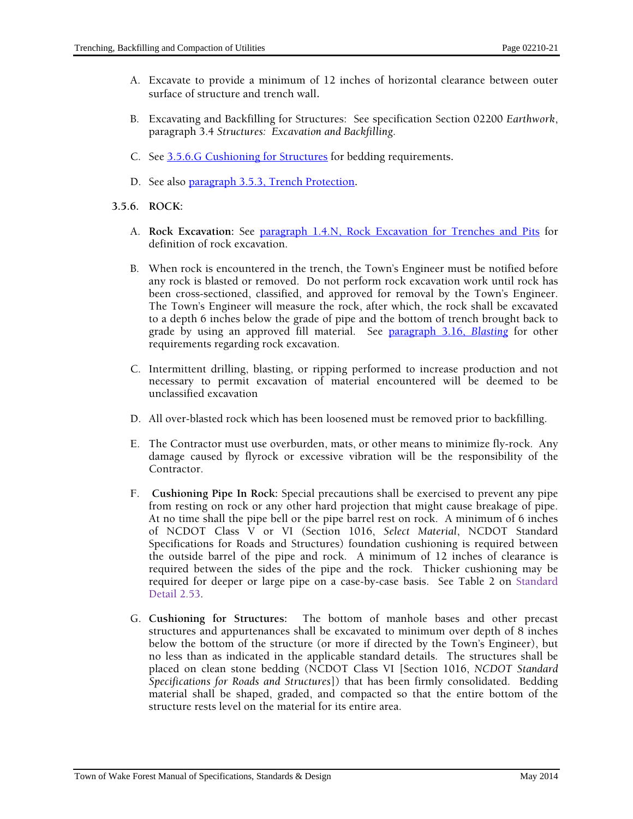- A. Excavate to provide a minimum of 12 inches of horizontal clearance between outer surface of structure and trench wall.
- B. Excavating and Backfilling for Structures: See specification Section 02200 *Earthwork*, paragraph 3.4 *Structures: Excavation and Backfilling*.
- C. See 3.5.6.G Cushioning for Structures for bedding requirements**.**
- D. See also paragraph 3.5.3, Trench Protection**.**
- **3.5.6. ROCK:** 
	- A. **Rock Excavation:** See paragraph 1.4.N, Rock Excavation for Trenches and Pits for definition of rock excavation.
	- B. When rock is encountered in the trench, the Town's Engineer must be notified before any rock is blasted or removed. Do not perform rock excavation work until rock has been cross-sectioned, classified, and approved for removal by the Town's Engineer. The Town's Engineer will measure the rock, after which, the rock shall be excavated to a depth 6 inches below the grade of pipe and the bottom of trench brought back to grade by using an approved fill material. See paragraph 3.16, *Blasting* for other requirements regarding rock excavation.
	- C. Intermittent drilling, blasting, or ripping performed to increase production and not necessary to permit excavation of material encountered will be deemed to be unclassified excavation
	- D. All over-blasted rock which has been loosened must be removed prior to backfilling.
	- E. The Contractor must use overburden, mats, or other means to minimize fly-rock. Any damage caused by flyrock or excessive vibration will be the responsibility of the Contractor.
	- F. **Cushioning Pipe In Rock:** Special precautions shall be exercised to prevent any pipe from resting on rock or any other hard projection that might cause breakage of pipe. At no time shall the pipe bell or the pipe barrel rest on rock. A minimum of 6 inches of NCDOT Class V or VI (Section 1016, *Select Material*, NCDOT Standard Specifications for Roads and Structures) foundation cushioning is required between the outside barrel of the pipe and rock. A minimum of 12 inches of clearance is required between the sides of the pipe and the rock. Thicker cushioning may be required for deeper or large pipe on a case-by-case basis. See Table 2 on Standard Detail 2.53.
	- G. **Cushioning for Structures:** The bottom of manhole bases and other precast structures and appurtenances shall be excavated to minimum over depth of 8 inches below the bottom of the structure (or more if directed by the Town's Engineer), but no less than as indicated in the applicable standard details. The structures shall be placed on clean stone bedding (NCDOT Class VI [Section 1016, *NCDOT Standard Specifications for Roads and Structures*]) that has been firmly consolidated. Bedding material shall be shaped, graded, and compacted so that the entire bottom of the structure rests level on the material for its entire area.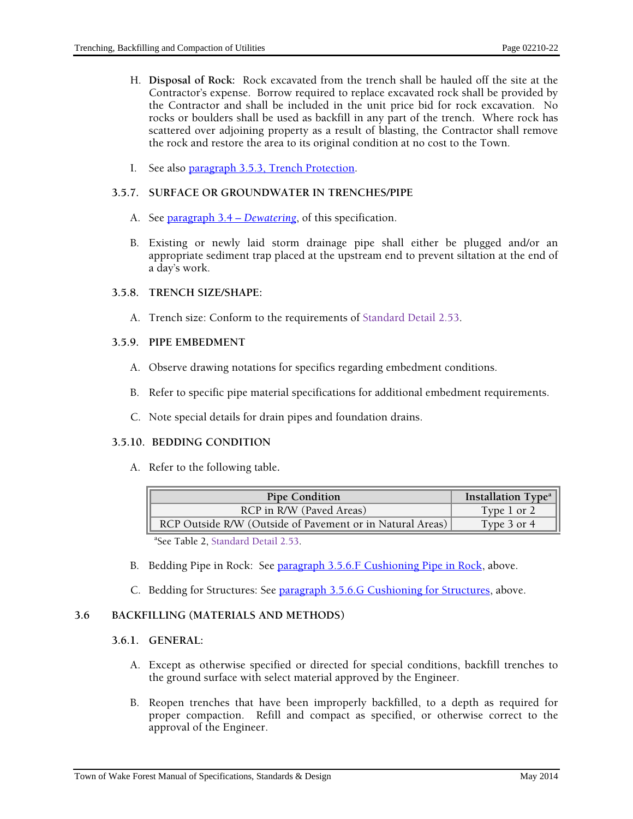- H. **Disposal of Rock:** Rock excavated from the trench shall be hauled off the site at the Contractor's expense. Borrow required to replace excavated rock shall be provided by the Contractor and shall be included in the unit price bid for rock excavation. No rocks or boulders shall be used as backfill in any part of the trench. Where rock has scattered over adjoining property as a result of blasting, the Contractor shall remove the rock and restore the area to its original condition at no cost to the Town.
- I. See also paragraph 3.5.3, Trench Protection.

#### **3.5.7. SURFACE OR GROUNDWATER IN TRENCHES/PIPE**

- A. See paragraph 3.4 *Dewatering*, of this specification.
- B. Existing or newly laid storm drainage pipe shall either be plugged and/or an appropriate sediment trap placed at the upstream end to prevent siltation at the end of a day's work.

#### **3.5.8. TRENCH SIZE/SHAPE:**

A. Trench size: Conform to the requirements of Standard Detail 2.53.

## **3.5.9. PIPE EMBEDMENT**

- A. Observe drawing notations for specifics regarding embedment conditions.
- B. Refer to specific pipe material specifications for additional embedment requirements.
- C. Note special details for drain pipes and foundation drains.

#### **3.5.10. BEDDING CONDITION**

A. Refer to the following table**.** 

| <b>Pipe Condition</b>                                     | Installation $Typea$ |
|-----------------------------------------------------------|----------------------|
| RCP in R/W (Paved Areas)                                  | Type 1 or 2          |
| RCP Outside R/W (Outside of Pavement or in Natural Areas) | Type 3 or 4          |

a See Table 2, Standard Detail 2.53.

- B. Bedding Pipe in Rock: See paragraph 3.5.6.F Cushioning Pipe in Rock, above.
- C. Bedding for Structures: See paragraph 3.5.6.G Cushioning for Structures, above.

# **3.6 BACKFILLING (MATERIALS AND METHODS)**

## **3.6.1. GENERAL:**

- A. Except as otherwise specified or directed for special conditions, backfill trenches to the ground surface with select material approved by the Engineer.
- B. Reopen trenches that have been improperly backfilled, to a depth as required for proper compaction. Refill and compact as specified, or otherwise correct to the approval of the Engineer.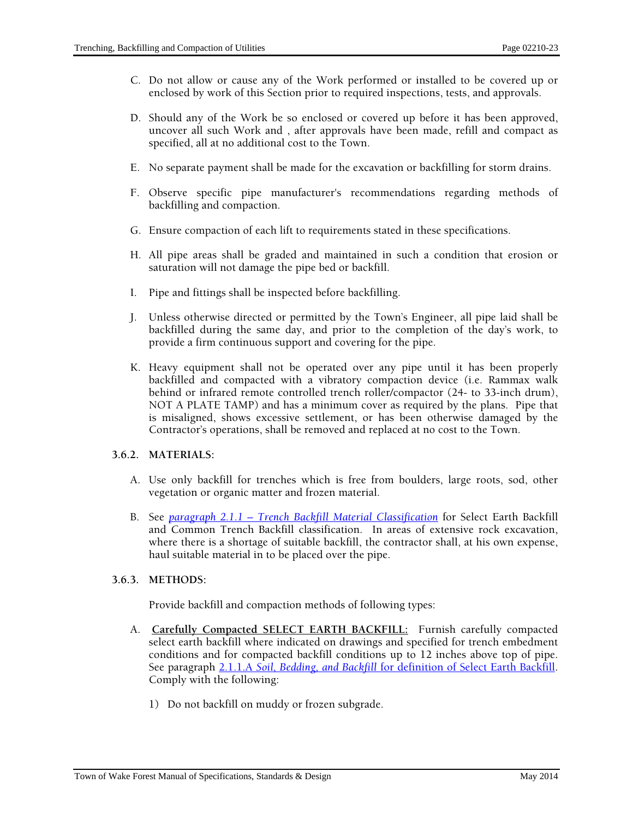- C. Do not allow or cause any of the Work performed or installed to be covered up or enclosed by work of this Section prior to required inspections, tests, and approvals.
- D. Should any of the Work be so enclosed or covered up before it has been approved, uncover all such Work and , after approvals have been made, refill and compact as specified, all at no additional cost to the Town.
- E. No separate payment shall be made for the excavation or backfilling for storm drains.
- F. Observe specific pipe manufacturer's recommendations regarding methods of backfilling and compaction.
- G. Ensure compaction of each lift to requirements stated in these specifications.
- H. All pipe areas shall be graded and maintained in such a condition that erosion or saturation will not damage the pipe bed or backfill.
- I. Pipe and fittings shall be inspected before backfilling.
- J. Unless otherwise directed or permitted by the Town's Engineer, all pipe laid shall be backfilled during the same day, and prior to the completion of the day's work, to provide a firm continuous support and covering for the pipe.
- K. Heavy equipment shall not be operated over any pipe until it has been properly backfilled and compacted with a vibratory compaction device (i.e. Rammax walk behind or infrared remote controlled trench roller/compactor (24- to 33-inch drum), NOT A PLATE TAMP) and has a minimum cover as required by the plans. Pipe that is misaligned, shows excessive settlement, or has been otherwise damaged by the Contractor's operations, shall be removed and replaced at no cost to the Town.

## **3.6.2. MATERIALS:**

- A. Use only backfill for trenches which is free from boulders, large roots, sod, other vegetation or organic matter and frozen material.
- B. See *paragraph 2.1.1 Trench Backfill Material Classification* for Select Earth Backfill and Common Trench Backfill classification. In areas of extensive rock excavation, where there is a shortage of suitable backfill, the contractor shall, at his own expense, haul suitable material in to be placed over the pipe.

# **3.6.3. METHODS:**

Provide backfill and compaction methods of following types:

- A. **Carefully Compacted SELECT EARTH BACKFILL:** Furnish carefully compacted select earth backfill where indicated on drawings and specified for trench embedment conditions and for compacted backfill conditions up to 12 inches above top of pipe. See paragraph 2.1.1.A *Soil, Bedding, and Backfill* for definition of Select Earth Backfill. Comply with the following:
	- 1) Do not backfill on muddy or frozen subgrade.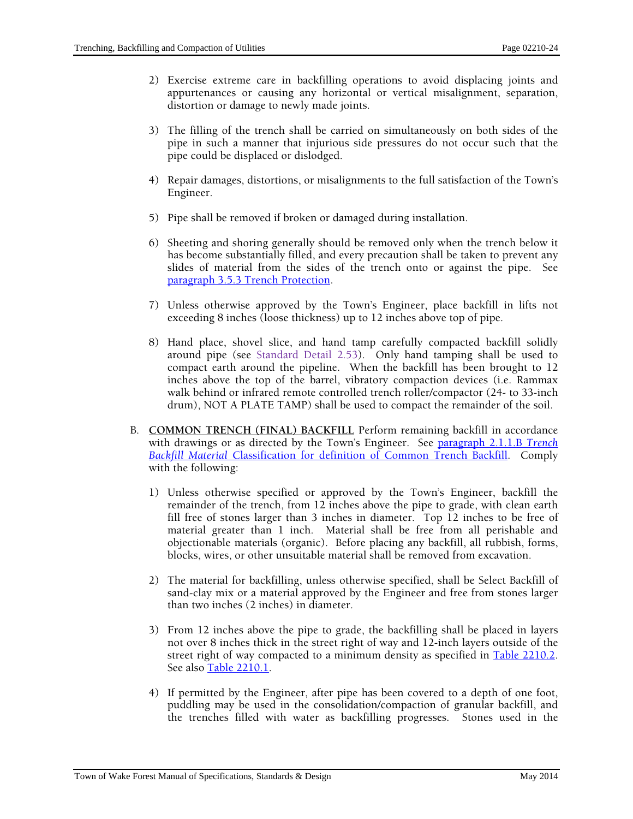- 2) Exercise extreme care in backfilling operations to avoid displacing joints and appurtenances or causing any horizontal or vertical misalignment, separation, distortion or damage to newly made joints.
- 3) The filling of the trench shall be carried on simultaneously on both sides of the pipe in such a manner that injurious side pressures do not occur such that the pipe could be displaced or dislodged.
- 4) Repair damages, distortions, or misalignments to the full satisfaction of the Town's Engineer.
- 5) Pipe shall be removed if broken or damaged during installation.
- 6) Sheeting and shoring generally should be removed only when the trench below it has become substantially filled, and every precaution shall be taken to prevent any slides of material from the sides of the trench onto or against the pipe. See paragraph 3.5.3 Trench Protection.
- 7) Unless otherwise approved by the Town's Engineer, place backfill in lifts not exceeding 8 inches (loose thickness) up to 12 inches above top of pipe.
- 8) Hand place, shovel slice, and hand tamp carefully compacted backfill solidly around pipe (see Standard Detail 2.53). Only hand tamping shall be used to compact earth around the pipeline. When the backfill has been brought to 12 inches above the top of the barrel, vibratory compaction devices (i.e. Rammax walk behind or infrared remote controlled trench roller/compactor (24- to 33-inch drum), NOT A PLATE TAMP) shall be used to compact the remainder of the soil.
- B. **COMMON TRENCH (FINAL) BACKFILL** Perform remaining backfill in accordance with drawings or as directed by the Town's Engineer. See paragraph 2.1.1.B *Trench Backfill Material* Classification for definition of Common Trench Backfill. Comply with the following:
	- 1) Unless otherwise specified or approved by the Town's Engineer, backfill the remainder of the trench, from 12 inches above the pipe to grade, with clean earth fill free of stones larger than 3 inches in diameter. Top 12 inches to be free of material greater than 1 inch. Material shall be free from all perishable and objectionable materials (organic). Before placing any backfill, all rubbish, forms, blocks, wires, or other unsuitable material shall be removed from excavation.
	- 2) The material for backfilling, unless otherwise specified, shall be Select Backfill of sand-clay mix or a material approved by the Engineer and free from stones larger than two inches (2 inches) in diameter.
	- 3) From 12 inches above the pipe to grade, the backfilling shall be placed in layers not over 8 inches thick in the street right of way and 12-inch layers outside of the street right of way compacted to a minimum density as specified in Table 2210.2. See also Table 2210.1.
	- 4) If permitted by the Engineer, after pipe has been covered to a depth of one foot, puddling may be used in the consolidation/compaction of granular backfill, and the trenches filled with water as backfilling progresses. Stones used in the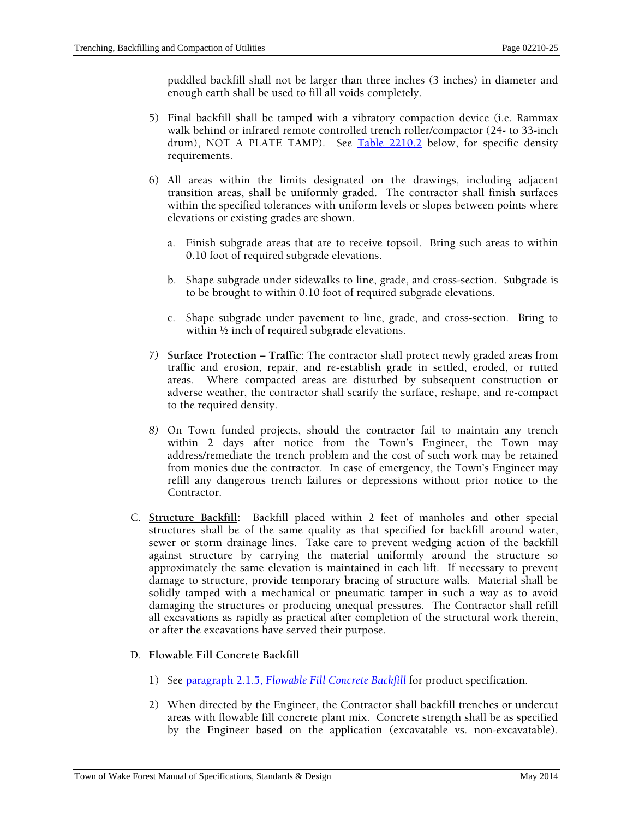puddled backfill shall not be larger than three inches (3 inches) in diameter and enough earth shall be used to fill all voids completely.

- 5) Final backfill shall be tamped with a vibratory compaction device (i.e. Rammax walk behind or infrared remote controlled trench roller/compactor (24- to 33-inch drum), NOT A PLATE TAMP). See Table 2210.2 below, for specific density requirements.
- 6) All areas within the limits designated on the drawings, including adjacent transition areas, shall be uniformly graded. The contractor shall finish surfaces within the specified tolerances with uniform levels or slopes between points where elevations or existing grades are shown.
	- a. Finish subgrade areas that are to receive topsoil. Bring such areas to within 0.10 foot of required subgrade elevations.
	- b. Shape subgrade under sidewalks to line, grade, and cross-section. Subgrade is to be brought to within 0.10 foot of required subgrade elevations.
	- c. Shape subgrade under pavement to line, grade, and cross-section. Bring to within <sup>1</sup>/<sub>2</sub> inch of required subgrade elevations.
- *7)* **Surface Protection Traffic**: The contractor shall protect newly graded areas from traffic and erosion, repair, and re-establish grade in settled, eroded, or rutted areas. Where compacted areas are disturbed by subsequent construction or adverse weather, the contractor shall scarify the surface, reshape, and re-compact to the required density.
- *8)* On Town funded projects, should the contractor fail to maintain any trench within 2 days after notice from the Town's Engineer, the Town may address/remediate the trench problem and the cost of such work may be retained from monies due the contractor. In case of emergency, the Town's Engineer may refill any dangerous trench failures or depressions without prior notice to the Contractor.
- C. **Structure Backfill:** Backfill placed within 2 feet of manholes and other special structures shall be of the same quality as that specified for backfill around water, sewer or storm drainage lines. Take care to prevent wedging action of the backfill against structure by carrying the material uniformly around the structure so approximately the same elevation is maintained in each lift. If necessary to prevent damage to structure, provide temporary bracing of structure walls. Material shall be solidly tamped with a mechanical or pneumatic tamper in such a way as to avoid damaging the structures or producing unequal pressures. The Contractor shall refill all excavations as rapidly as practical after completion of the structural work therein, or after the excavations have served their purpose.

## D. **Flowable Fill Concrete Backfill**

- 1) See paragraph 2.1.5, *Flowable Fill Concrete Backfill* for product specification.
- 2) When directed by the Engineer, the Contractor shall backfill trenches or undercut areas with flowable fill concrete plant mix. Concrete strength shall be as specified by the Engineer based on the application (excavatable vs. non-excavatable).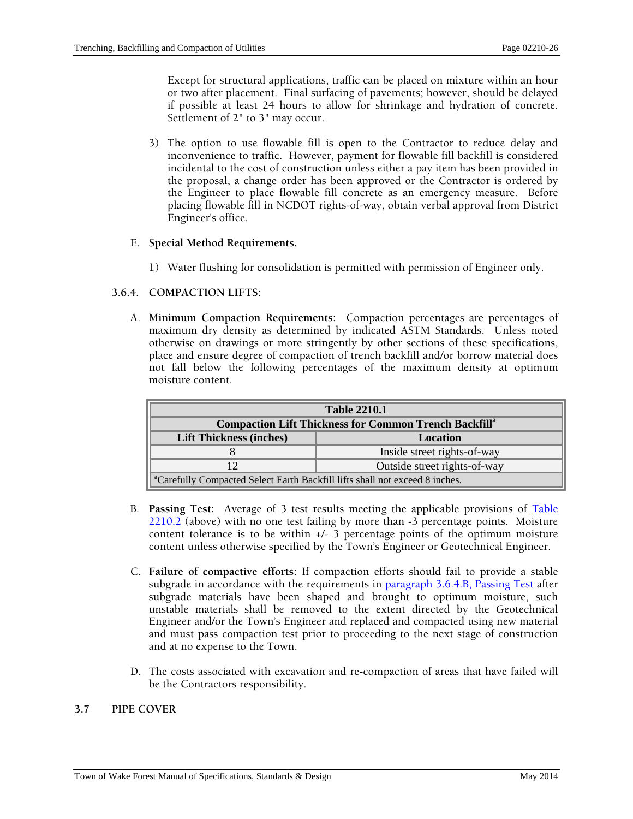Except for structural applications, traffic can be placed on mixture within an hour or two after placement. Final surfacing of pavements; however, should be delayed if possible at least 24 hours to allow for shrinkage and hydration of concrete. Settlement of 2" to 3" may occur.

3) The option to use flowable fill is open to the Contractor to reduce delay and inconvenience to traffic. However, payment for flowable fill backfill is considered incidental to the cost of construction unless either a pay item has been provided in the proposal, a change order has been approved or the Contractor is ordered by the Engineer to place flowable fill concrete as an emergency measure. Before placing flowable fill in NCDOT rights-of-way, obtain verbal approval from District Engineer's office.

#### E. **Special Method Requirements.**

1) Water flushing for consolidation is permitted with permission of Engineer only.

## **3.6.4. COMPACTION LIFTS:**

A. **Minimum Compaction Requirements:** Compaction percentages are percentages of maximum dry density as determined by indicated ASTM Standards. Unless noted otherwise on drawings or more stringently by other sections of these specifications, place and ensure degree of compaction of trench backfill and/or borrow material does not fall below the following percentages of the maximum density at optimum moisture content.

| <b>Table 2210.1</b>                                                                     |                              |  |
|-----------------------------------------------------------------------------------------|------------------------------|--|
| <b>Compaction Lift Thickness for Common Trench Backfill</b> <sup>a</sup>                |                              |  |
| <b>Lift Thickness (inches)</b>                                                          | Location                     |  |
|                                                                                         | Inside street rights-of-way  |  |
| 12                                                                                      | Outside street rights-of-way |  |
| <sup>a</sup> Carefully Compacted Select Earth Backfill lifts shall not exceed 8 inches. |                              |  |

- B. **Passing Test:** Average of 3 test results meeting the applicable provisions of Table 2210.2 (above) with no one test failing by more than -3 percentage points. Moisture content tolerance is to be within  $+/-3$  percentage points of the optimum moisture content unless otherwise specified by the Town's Engineer or Geotechnical Engineer.
- C. **Failure of compactive efforts:** If compaction efforts should fail to provide a stable subgrade in accordance with the requirements in <u>paragraph 3.6.4.B, Passing Test</u> after subgrade materials have been shaped and brought to optimum moisture, such unstable materials shall be removed to the extent directed by the Geotechnical Engineer and/or the Town's Engineer and replaced and compacted using new material and must pass compaction test prior to proceeding to the next stage of construction and at no expense to the Town.
- D. The costs associated with excavation and re-compaction of areas that have failed will be the Contractors responsibility.

#### **3.7 PIPE COVER**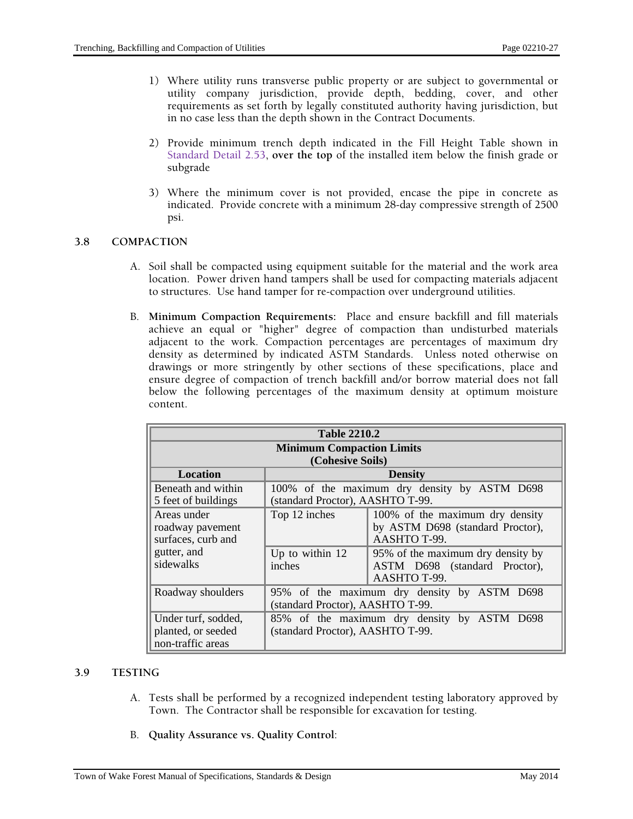- 1) Where utility runs transverse public property or are subject to governmental or utility company jurisdiction, provide depth, bedding, cover, and other requirements as set forth by legally constituted authority having jurisdiction, but in no case less than the depth shown in the Contract Documents.
- 2) Provide minimum trench depth indicated in the Fill Height Table shown in Standard Detail 2.53, **over the top** of the installed item below the finish grade or subgrade
- 3) Where the minimum cover is not provided, encase the pipe in concrete as indicated. Provide concrete with a minimum 28-day compressive strength of 2500 psi.

## **3.8 COMPACTION**

- A. Soil shall be compacted using equipment suitable for the material and the work area location. Power driven hand tampers shall be used for compacting materials adjacent to structures. Use hand tamper for re-compaction over underground utilities.
- B. **Minimum Compaction Requirements:** Place and ensure backfill and fill materials achieve an equal or "higher" degree of compaction than undisturbed materials adjacent to the work. Compaction percentages are percentages of maximum dry density as determined by indicated ASTM Standards. Unless noted otherwise on drawings or more stringently by other sections of these specifications, place and ensure degree of compaction of trench backfill and/or borrow material does not fall below the following percentages of the maximum density at optimum moisture content.

| <b>Table 2210.2</b>                                                               |                                                                                 |                                                                                                                                                           |  |
|-----------------------------------------------------------------------------------|---------------------------------------------------------------------------------|-----------------------------------------------------------------------------------------------------------------------------------------------------------|--|
| <b>Minimum Compaction Limits</b>                                                  |                                                                                 |                                                                                                                                                           |  |
| <b>Location</b>                                                                   | (Cohesive Soils)<br><b>Density</b>                                              |                                                                                                                                                           |  |
| Beneath and within<br>5 feet of buildings                                         | (standard Proctor), AASHTO T-99.                                                | 100% of the maximum dry density by ASTM D698                                                                                                              |  |
| Areas under<br>roadway pavement<br>surfaces, curb and<br>gutter, and<br>sidewalks | Top 12 inches<br>Up to within $12$<br>inches                                    | 100% of the maximum dry density<br>by ASTM D698 (standard Proctor),<br>AASHTO T-99.<br>95% of the maximum dry density by<br>ASTM D698 (standard Proctor), |  |
|                                                                                   |                                                                                 | AASHTO T-99.                                                                                                                                              |  |
| Roadway shoulders                                                                 | 95% of the maximum dry density by ASTM D698<br>(standard Proctor), AASHTO T-99. |                                                                                                                                                           |  |
| Under turf, sodded,<br>planted, or seeded<br>non-traffic areas                    | 85% of the maximum dry density by ASTM D698<br>(standard Proctor), AASHTO T-99. |                                                                                                                                                           |  |

## **3.9 TESTING**

- A. Tests shall be performed by a recognized independent testing laboratory approved by Town. The Contractor shall be responsible for excavation for testing.
- B. **Quality Assurance vs. Quality Control**: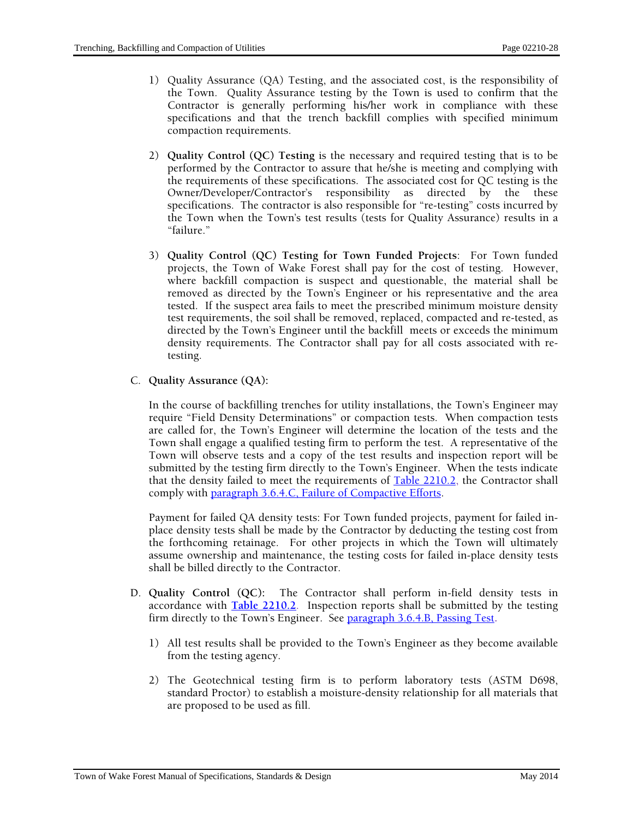- 1) Quality Assurance (QA) Testing, and the associated cost, is the responsibility of the Town. Quality Assurance testing by the Town is used to confirm that the Contractor is generally performing his/her work in compliance with these specifications and that the trench backfill complies with specified minimum compaction requirements.
- 2) **Quality Control (QC) Testing** is the necessary and required testing that is to be performed by the Contractor to assure that he/she is meeting and complying with the requirements of these specifications. The associated cost for QC testing is the Owner/Developer/Contractor's responsibility as directed by the these specifications. The contractor is also responsible for "re-testing" costs incurred by the Town when the Town's test results (tests for Quality Assurance) results in a "failure."
- 3) **Quality Control (QC) Testing for Town Funded Projects**: For Town funded projects, the Town of Wake Forest shall pay for the cost of testing. However, where backfill compaction is suspect and questionable, the material shall be removed as directed by the Town's Engineer or his representative and the area tested. If the suspect area fails to meet the prescribed minimum moisture density test requirements, the soil shall be removed, replaced, compacted and re-tested, as directed by the Town's Engineer until the backfill meets or exceeds the minimum density requirements. The Contractor shall pay for all costs associated with retesting.
- C. **Quality Assurance (QA):**

In the course of backfilling trenches for utility installations, the Town's Engineer may require "Field Density Determinations" or compaction tests. When compaction tests are called for, the Town's Engineer will determine the location of the tests and the Town shall engage a qualified testing firm to perform the test. A representative of the Town will observe tests and a copy of the test results and inspection report will be submitted by the testing firm directly to the Town's Engineer. When the tests indicate that the density failed to meet the requirements of  $Table 2210.2$ , the Contractor shall comply with paragraph 3.6.4.C, Failure of Compactive Efforts.

Payment for failed QA density tests: For Town funded projects, payment for failed inplace density tests shall be made by the Contractor by deducting the testing cost from the forthcoming retainage. For other projects in which the Town will ultimately assume ownership and maintenance, the testing costs for failed in-place density tests shall be billed directly to the Contractor.

- D. **Quality Control (QC):** The Contractor shall perform in-field density tests in accordance with **Table 2210.2**. Inspection reports shall be submitted by the testing firm directly to the Town's Engineer. See paragraph 3.6.4.B, Passing Test**.** 
	- 1) All test results shall be provided to the Town's Engineer as they become available from the testing agency.
	- 2) The Geotechnical testing firm is to perform laboratory tests (ASTM D698, standard Proctor) to establish a moisture-density relationship for all materials that are proposed to be used as fill.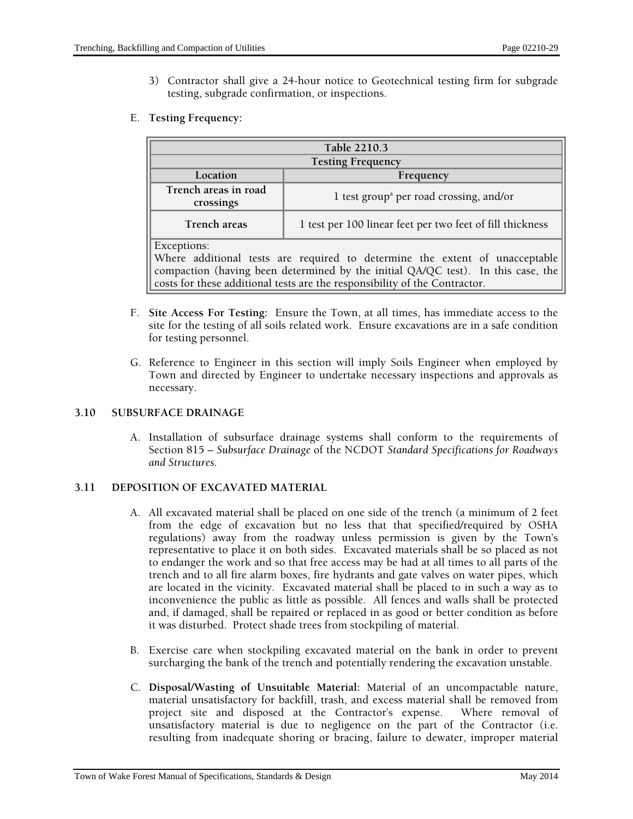3) Contractor shall give a 24-hour notice to Geotechnical testing firm for subgrade testing, subgrade confirmation, or inspections.

## E. **Testing Frequency:**

| Table 2210.3                                                                                                                                                                                                                                                 |                                                           |  |  |
|--------------------------------------------------------------------------------------------------------------------------------------------------------------------------------------------------------------------------------------------------------------|-----------------------------------------------------------|--|--|
| <b>Testing Frequency</b>                                                                                                                                                                                                                                     |                                                           |  |  |
| Location                                                                                                                                                                                                                                                     | Frequency                                                 |  |  |
| Trench areas in road<br>crossings                                                                                                                                                                                                                            | 1 test group <sup>a</sup> per road crossing, and/or       |  |  |
| Trench areas                                                                                                                                                                                                                                                 | 1 test per 100 linear feet per two feet of fill thickness |  |  |
| Exceptions:<br>Where additional tests are required to determine the extent of unacceptable<br>compaction (having been determined by the initial QA/QC test). In this case, the<br>costs for these additional tests are the responsibility of the Contractor. |                                                           |  |  |

- F. **Site Access For Testing:** Ensure the Town, at all times, has immediate access to the site for the testing of all soils related work. Ensure excavations are in a safe condition for testing personnel.
- G. Reference to Engineer in this section will imply Soils Engineer when employed by Town and directed by Engineer to undertake necessary inspections and approvals as necessary.

## **3.10 SUBSURFACE DRAINAGE**

A. Installation of subsurface drainage systems shall conform to the requirements of Section 815 – *Subsurface Drainage* of the NCDOT *Standard Specifications for Roadways and Structures.* 

## **3.11 DEPOSITION OF EXCAVATED MATERIAL**

- A. All excavated material shall be placed on one side of the trench (a minimum of 2 feet from the edge of excavation but no less that that specified/required by OSHA regulations) away from the roadway unless permission is given by the Town's representative to place it on both sides. Excavated materials shall be so placed as not to endanger the work and so that free access may be had at all times to all parts of the trench and to all fire alarm boxes, fire hydrants and gate valves on water pipes, which are located in the vicinity. Excavated material shall be placed to in such a way as to inconvenience the public as little as possible. All fences and walls shall be protected and, if damaged, shall be repaired or replaced in as good or better condition as before it was disturbed. Protect shade trees from stockpiling of material.
- B. Exercise care when stockpiling excavated material on the bank in order to prevent surcharging the bank of the trench and potentially rendering the excavation unstable.
- C. **Disposal/Wasting of Unsuitable Material:** Material of an uncompactable nature, material unsatisfactory for backfill, trash, and excess material shall be removed from project site and disposed at the Contractor's expense. Where removal of unsatisfactory material is due to negligence on the part of the Contractor (i.e. resulting from inadequate shoring or bracing, failure to dewater, improper material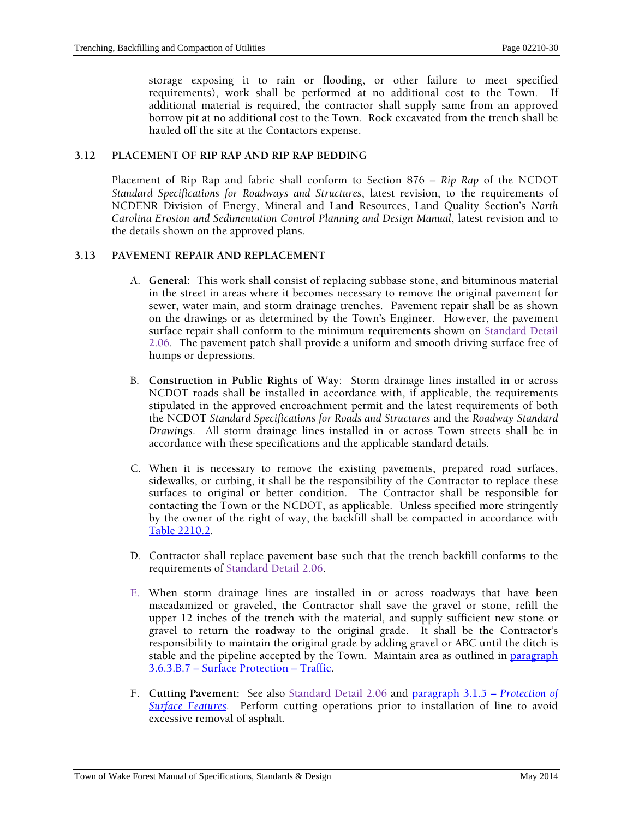storage exposing it to rain or flooding, or other failure to meet specified requirements), work shall be performed at no additional cost to the Town. If additional material is required, the contractor shall supply same from an approved borrow pit at no additional cost to the Town. Rock excavated from the trench shall be hauled off the site at the Contactors expense.

#### **3.12 PLACEMENT OF RIP RAP AND RIP RAP BEDDING**

Placement of Rip Rap and fabric shall conform to Section 876 – *Rip Rap* of the NCDOT *Standard Specifications for Roadways and Structures*, latest revision, to the requirements of NCDENR Division of Energy, Mineral and Land Resources, Land Quality Section's *North Carolina Erosion and Sedimentation Control Planning and Design Manual*, latest revision and to the details shown on the approved plans.

## **3.13 PAVEMENT REPAIR AND REPLACEMENT**

- A. **General:** This work shall consist of replacing subbase stone, and bituminous material in the street in areas where it becomes necessary to remove the original pavement for sewer, water main, and storm drainage trenches. Pavement repair shall be as shown on the drawings or as determined by the Town's Engineer. However, the pavement surface repair shall conform to the minimum requirements shown on Standard Detail 2.06. The pavement patch shall provide a uniform and smooth driving surface free of humps or depressions.
- B. **Construction in Public Rights of Way**: Storm drainage lines installed in or across NCDOT roads shall be installed in accordance with, if applicable, the requirements stipulated in the approved encroachment permit and the latest requirements of both the NCDOT *Standard Specifications for Roads and Structures* and the *Roadway Standard Drawings*. All storm drainage lines installed in or across Town streets shall be in accordance with these specifications and the applicable standard details.
- C. When it is necessary to remove the existing pavements, prepared road surfaces, sidewalks, or curbing, it shall be the responsibility of the Contractor to replace these surfaces to original or better condition. The Contractor shall be responsible for contacting the Town or the NCDOT, as applicable. Unless specified more stringently by the owner of the right of way, the backfill shall be compacted in accordance with Table 2210.2.
- D. Contractor shall replace pavement base such that the trench backfill conforms to the requirements of Standard Detail 2.06.
- E. When storm drainage lines are installed in or across roadways that have been macadamized or graveled, the Contractor shall save the gravel or stone, refill the upper 12 inches of the trench with the material, and supply sufficient new stone or gravel to return the roadway to the original grade. It shall be the Contractor's responsibility to maintain the original grade by adding gravel or ABC until the ditch is stable and the pipeline accepted by the Town. Maintain area as outlined in **paragraph** 3.6.3.B.7 – Surface Protection – Traffic.
- F. **Cutting Pavement:** See also Standard Detail 2.06 and paragraph 3.1.5 *Protection of Surface Features.* Perform cutting operations prior to installation of line to avoid excessive removal of asphalt.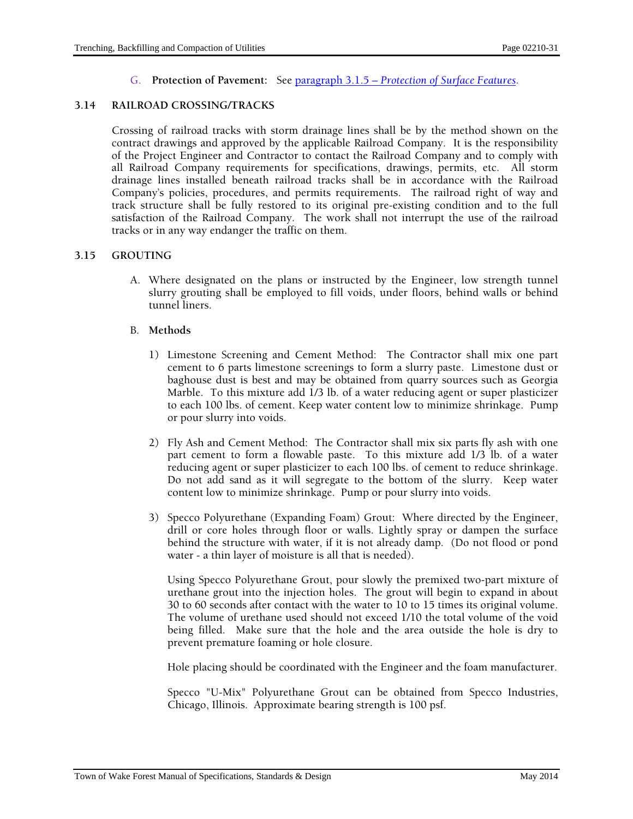G. **Protection of Pavement:** See paragraph 3.1.5 – *Protection of Surface Features***.** 

## **3.14 RAILROAD CROSSING/TRACKS**

Crossing of railroad tracks with storm drainage lines shall be by the method shown on the contract drawings and approved by the applicable Railroad Company. It is the responsibility of the Project Engineer and Contractor to contact the Railroad Company and to comply with all Railroad Company requirements for specifications, drawings, permits, etc. All storm drainage lines installed beneath railroad tracks shall be in accordance with the Railroad Company's policies, procedures, and permits requirements. The railroad right of way and track structure shall be fully restored to its original pre-existing condition and to the full satisfaction of the Railroad Company. The work shall not interrupt the use of the railroad tracks or in any way endanger the traffic on them.

#### **3.15 GROUTING**

A. Where designated on the plans or instructed by the Engineer, low strength tunnel slurry grouting shall be employed to fill voids, under floors, behind walls or behind tunnel liners.

#### B. **Methods**

- 1) Limestone Screening and Cement Method: The Contractor shall mix one part cement to 6 parts limestone screenings to form a slurry paste. Limestone dust or baghouse dust is best and may be obtained from quarry sources such as Georgia Marble. To this mixture add 1/3 lb. of a water reducing agent or super plasticizer to each 100 lbs. of cement. Keep water content low to minimize shrinkage. Pump or pour slurry into voids.
- 2) Fly Ash and Cement Method: The Contractor shall mix six parts fly ash with one part cement to form a flowable paste. To this mixture add 1/3 lb. of a water reducing agent or super plasticizer to each 100 lbs. of cement to reduce shrinkage. Do not add sand as it will segregate to the bottom of the slurry. Keep water content low to minimize shrinkage. Pump or pour slurry into voids.
- 3) Specco Polyurethane (Expanding Foam) Grout: Where directed by the Engineer, drill or core holes through floor or walls. Lightly spray or dampen the surface behind the structure with water, if it is not already damp. (Do not flood or pond water - a thin layer of moisture is all that is needed).

Using Specco Polyurethane Grout, pour slowly the premixed two-part mixture of urethane grout into the injection holes. The grout will begin to expand in about 30 to 60 seconds after contact with the water to 10 to 15 times its original volume. The volume of urethane used should not exceed 1/10 the total volume of the void being filled. Make sure that the hole and the area outside the hole is dry to prevent premature foaming or hole closure.

Hole placing should be coordinated with the Engineer and the foam manufacturer.

Specco "U-Mix" Polyurethane Grout can be obtained from Specco Industries, Chicago, Illinois. Approximate bearing strength is 100 psf.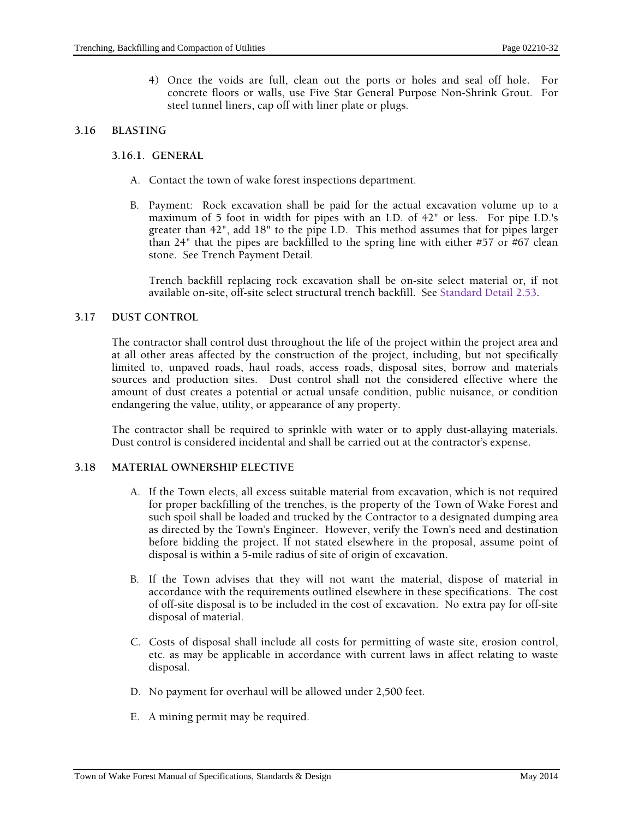4) Once the voids are full, clean out the ports or holes and seal off hole. For concrete floors or walls, use Five Star General Purpose Non-Shrink Grout. For steel tunnel liners, cap off with liner plate or plugs.

#### **3.16 BLASTING**

#### **3.16.1. GENERAL**

- A. Contact the town of wake forest inspections department.
- B. Payment: Rock excavation shall be paid for the actual excavation volume up to a maximum of 5 foot in width for pipes with an I.D. of 42" or less. For pipe I.D.'s greater than 42", add 18" to the pipe I.D. This method assumes that for pipes larger than 24" that the pipes are backfilled to the spring line with either #57 or #67 clean stone. See Trench Payment Detail.

Trench backfill replacing rock excavation shall be on-site select material or, if not available on-site, off-site select structural trench backfill. See Standard Detail 2.53.

#### **3.17 DUST CONTROL**

The contractor shall control dust throughout the life of the project within the project area and at all other areas affected by the construction of the project, including, but not specifically limited to, unpaved roads, haul roads, access roads, disposal sites, borrow and materials sources and production sites. Dust control shall not the considered effective where the amount of dust creates a potential or actual unsafe condition, public nuisance, or condition endangering the value, utility, or appearance of any property.

The contractor shall be required to sprinkle with water or to apply dust-allaying materials. Dust control is considered incidental and shall be carried out at the contractor's expense.

## **3.18 MATERIAL OWNERSHIP ELECTIVE**

- A. If the Town elects, all excess suitable material from excavation, which is not required for proper backfilling of the trenches, is the property of the Town of Wake Forest and such spoil shall be loaded and trucked by the Contractor to a designated dumping area as directed by the Town's Engineer. However, verify the Town's need and destination before bidding the project. If not stated elsewhere in the proposal, assume point of disposal is within a 5-mile radius of site of origin of excavation.
- B. If the Town advises that they will not want the material, dispose of material in accordance with the requirements outlined elsewhere in these specifications. The cost of off-site disposal is to be included in the cost of excavation. No extra pay for off-site disposal of material.
- C. Costs of disposal shall include all costs for permitting of waste site, erosion control, etc. as may be applicable in accordance with current laws in affect relating to waste disposal.
- D. No payment for overhaul will be allowed under 2,500 feet.
- E. A mining permit may be required.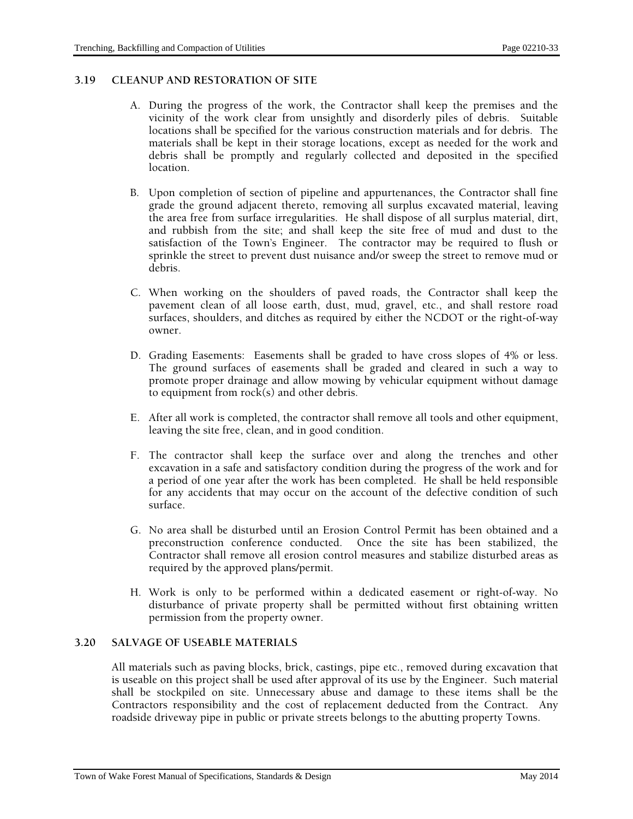## **3.19 CLEANUP AND RESTORATION OF SITE**

- A. During the progress of the work, the Contractor shall keep the premises and the vicinity of the work clear from unsightly and disorderly piles of debris. Suitable locations shall be specified for the various construction materials and for debris. The materials shall be kept in their storage locations, except as needed for the work and debris shall be promptly and regularly collected and deposited in the specified location.
- B. Upon completion of section of pipeline and appurtenances, the Contractor shall fine grade the ground adjacent thereto, removing all surplus excavated material, leaving the area free from surface irregularities. He shall dispose of all surplus material, dirt, and rubbish from the site; and shall keep the site free of mud and dust to the satisfaction of the Town's Engineer. The contractor may be required to flush or sprinkle the street to prevent dust nuisance and/or sweep the street to remove mud or debris.
- C. When working on the shoulders of paved roads, the Contractor shall keep the pavement clean of all loose earth, dust, mud, gravel, etc., and shall restore road surfaces, shoulders, and ditches as required by either the NCDOT or the right-of-way owner.
- D. Grading Easements: Easements shall be graded to have cross slopes of 4% or less. The ground surfaces of easements shall be graded and cleared in such a way to promote proper drainage and allow mowing by vehicular equipment without damage to equipment from rock(s) and other debris.
- E. After all work is completed, the contractor shall remove all tools and other equipment, leaving the site free, clean, and in good condition.
- F. The contractor shall keep the surface over and along the trenches and other excavation in a safe and satisfactory condition during the progress of the work and for a period of one year after the work has been completed. He shall be held responsible for any accidents that may occur on the account of the defective condition of such surface.
- G. No area shall be disturbed until an Erosion Control Permit has been obtained and a preconstruction conference conducted. Once the site has been stabilized, the Contractor shall remove all erosion control measures and stabilize disturbed areas as required by the approved plans/permit.
- H. Work is only to be performed within a dedicated easement or right-of-way. No disturbance of private property shall be permitted without first obtaining written permission from the property owner.

## **3.20 SALVAGE OF USEABLE MATERIALS**

All materials such as paving blocks, brick, castings, pipe etc., removed during excavation that is useable on this project shall be used after approval of its use by the Engineer. Such material shall be stockpiled on site. Unnecessary abuse and damage to these items shall be the Contractors responsibility and the cost of replacement deducted from the Contract. Any roadside driveway pipe in public or private streets belongs to the abutting property Towns.